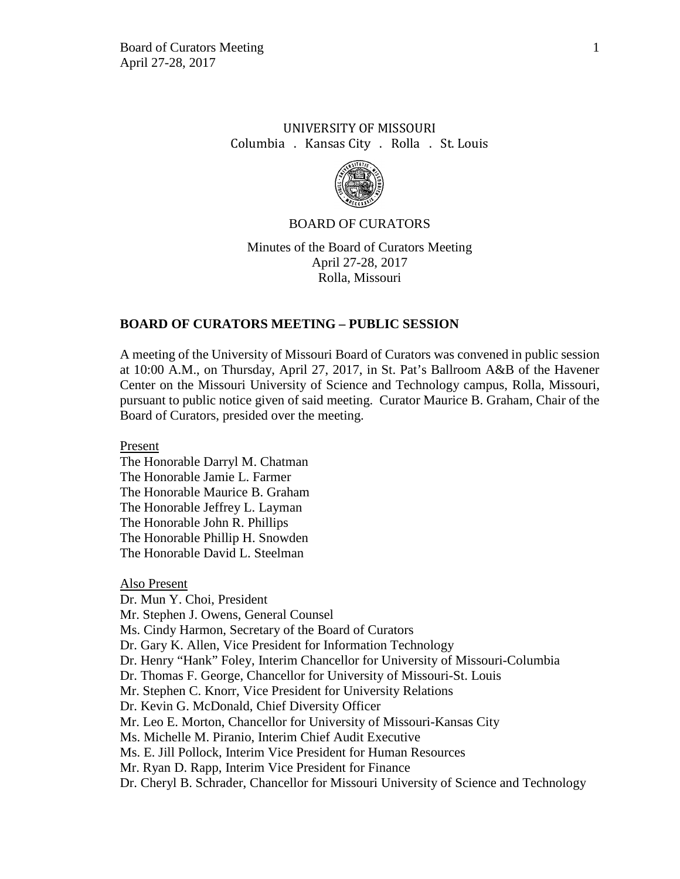## UNIVERSITY OF MISSOURI Columbia . Kansas City . Rolla . St. Louis



### BOARD OF CURATORS

Minutes of the Board of Curators Meeting April 27-28, 2017 Rolla, Missouri

### **BOARD OF CURATORS MEETING – PUBLIC SESSION**

A meeting of the University of Missouri Board of Curators was convened in public session at 10:00 A.M., on Thursday, April 27, 2017, in St. Pat's Ballroom A&B of the Havener Center on the Missouri University of Science and Technology campus, Rolla, Missouri, pursuant to public notice given of said meeting. Curator Maurice B. Graham, Chair of the Board of Curators, presided over the meeting.

Present

The Honorable Darryl M. Chatman The Honorable Jamie L. Farmer The Honorable Maurice B. Graham The Honorable Jeffrey L. Layman The Honorable John R. Phillips The Honorable Phillip H. Snowden The Honorable David L. Steelman

Also Present Dr. Mun Y. Choi, President Mr. Stephen J. Owens, General Counsel Ms. Cindy Harmon, Secretary of the Board of Curators Dr. Gary K. Allen, Vice President for Information Technology Dr. Henry "Hank" Foley, Interim Chancellor for University of Missouri-Columbia Dr. Thomas F. George, Chancellor for University of Missouri-St. Louis Mr. Stephen C. Knorr, Vice President for University Relations Dr. Kevin G. McDonald, Chief Diversity Officer Mr. Leo E. Morton, Chancellor for University of Missouri-Kansas City Ms. Michelle M. Piranio, Interim Chief Audit Executive Ms. E. Jill Pollock, Interim Vice President for Human Resources Mr. Ryan D. Rapp, Interim Vice President for Finance Dr. Cheryl B. Schrader, Chancellor for Missouri University of Science and Technology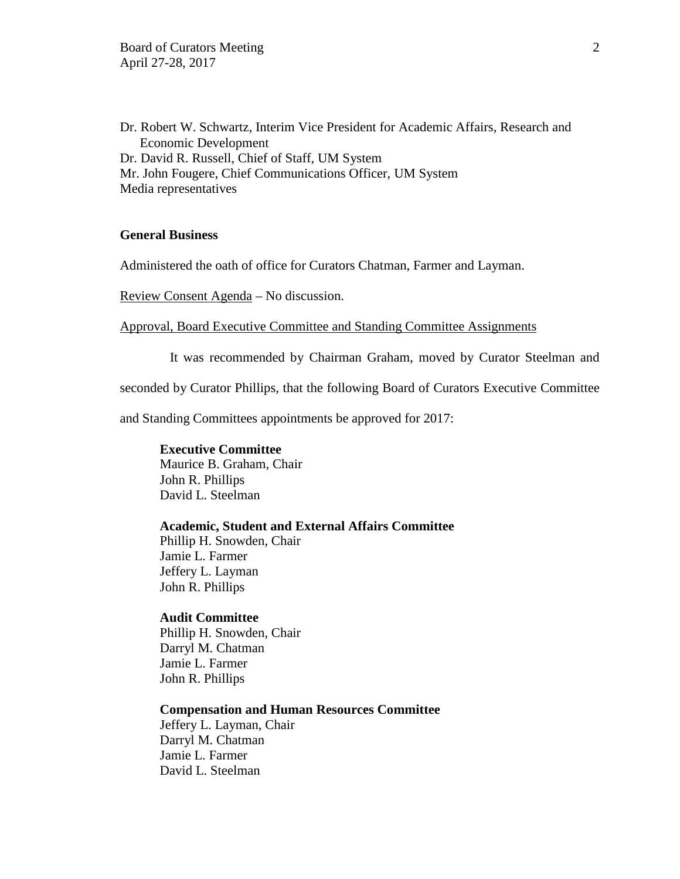Dr. Robert W. Schwartz, Interim Vice President for Academic Affairs, Research and Economic Development Dr. David R. Russell, Chief of Staff, UM System Mr. John Fougere, Chief Communications Officer, UM System Media representatives

### **General Business**

Administered the oath of office for Curators Chatman, Farmer and Layman.

Review Consent Agenda – No discussion.

Approval, Board Executive Committee and Standing Committee Assignments

It was recommended by Chairman Graham, moved by Curator Steelman and

seconded by Curator Phillips, that the following Board of Curators Executive Committee

and Standing Committees appointments be approved for 2017:

#### **Executive Committee**

Maurice B. Graham, Chair John R. Phillips David L. Steelman

#### **Academic, Student and External Affairs Committee**

Phillip H. Snowden, Chair Jamie L. Farmer Jeffery L. Layman John R. Phillips

### **Audit Committee**

Phillip H. Snowden, Chair Darryl M. Chatman Jamie L. Farmer John R. Phillips

### **Compensation and Human Resources Committee**

Jeffery L. Layman, Chair Darryl M. Chatman Jamie L. Farmer David L. Steelman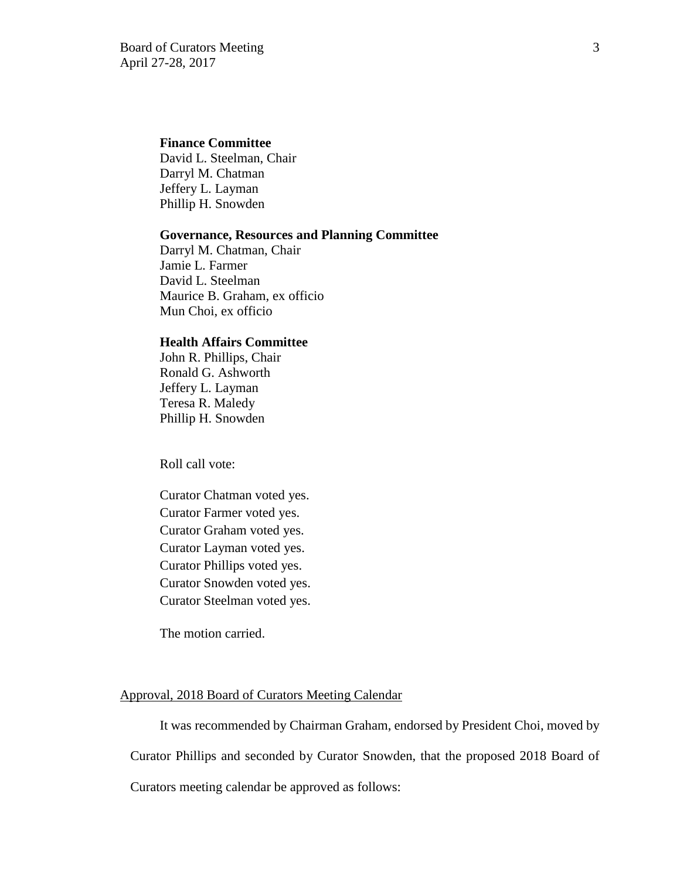### **Finance Committee**

David L. Steelman, Chair Darryl M. Chatman Jeffery L. Layman Phillip H. Snowden

#### **Governance, Resources and Planning Committee**

Darryl M. Chatman, Chair Jamie L. Farmer David L. Steelman Maurice B. Graham, ex officio Mun Choi, ex officio

### **Health Affairs Committee**

 John R. Phillips, Chair Ronald G. Ashworth Jeffery L. Layman Teresa R. Maledy Phillip H. Snowden

Roll call vote:

Curator Chatman voted yes. Curator Farmer voted yes. Curator Graham voted yes. Curator Layman voted yes. Curator Phillips voted yes. Curator Snowden voted yes. Curator Steelman voted yes.

The motion carried.

### Approval, 2018 Board of Curators Meeting Calendar

It was recommended by Chairman Graham, endorsed by President Choi, moved by Curator Phillips and seconded by Curator Snowden, that the proposed 2018 Board of

Curators meeting calendar be approved as follows: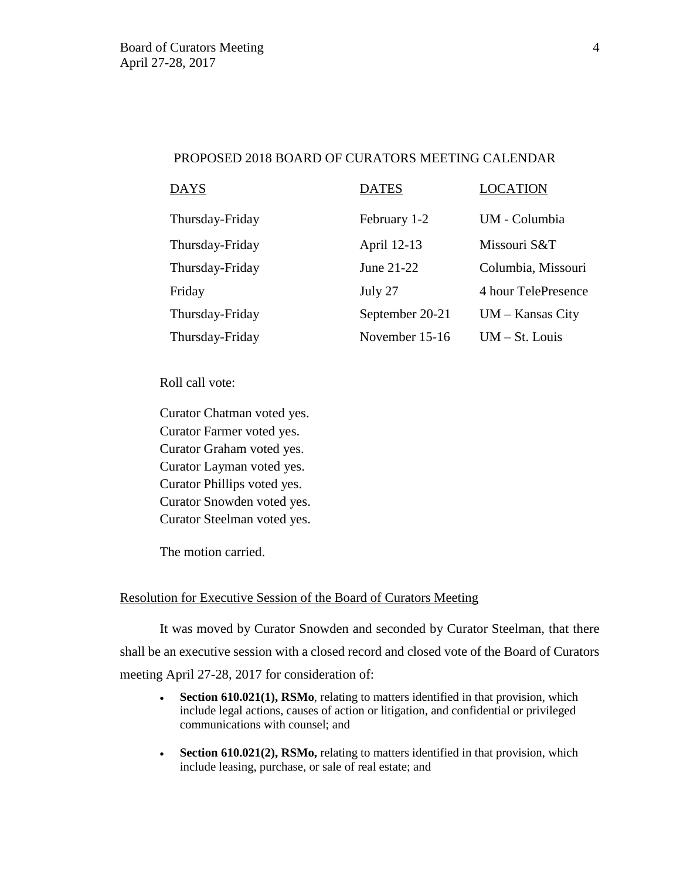### PROPOSED 2018 BOARD OF CURATORS MEETING CALENDAR

| <b>DAYS</b>     | <b>DATES</b>    | <b>LOCATION</b>     |
|-----------------|-----------------|---------------------|
| Thursday-Friday | February 1-2    | UM - Columbia       |
| Thursday-Friday | April 12-13     | Missouri S&T        |
| Thursday-Friday | June 21-22      | Columbia, Missouri  |
| Friday          | July 27         | 4 hour TelePresence |
| Thursday-Friday | September 20-21 | $UM - Kansas City$  |
| Thursday-Friday | November 15-16  | $UM - St. Louis$    |

Roll call vote:

Curator Chatman voted yes. Curator Farmer voted yes. Curator Graham voted yes. Curator Layman voted yes. Curator Phillips voted yes. Curator Snowden voted yes. Curator Steelman voted yes.

The motion carried.

## Resolution for Executive Session of the Board of Curators Meeting

It was moved by Curator Snowden and seconded by Curator Steelman, that there shall be an executive session with a closed record and closed vote of the Board of Curators meeting April 27-28, 2017 for consideration of:

- **Section 610.021(1), RSMo**, relating to matters identified in that provision, which include legal actions, causes of action or litigation, and confidential or privileged communications with counsel; and
- **Section 610.021(2), RSMo,** relating to matters identified in that provision, which include leasing, purchase, or sale of real estate; and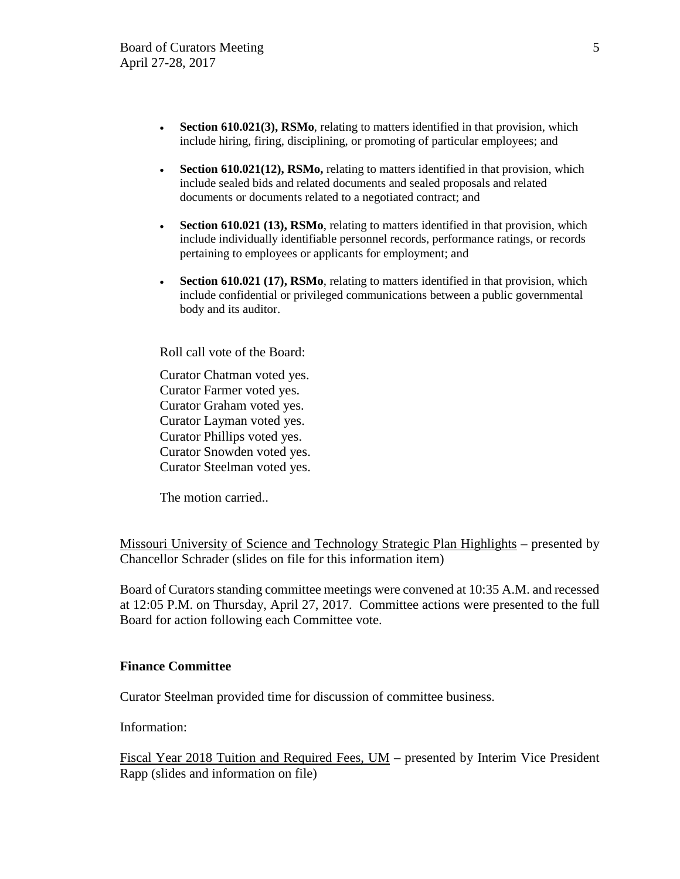- **Section 610.021(3), RSMo**, relating to matters identified in that provision, which include hiring, firing, disciplining, or promoting of particular employees; and
- **Section 610.021(12), RSMo,** relating to matters identified in that provision, which include sealed bids and related documents and sealed proposals and related documents or documents related to a negotiated contract; and
- **Section 610.021 (13), RSMo**, relating to matters identified in that provision, which include individually identifiable personnel records, performance ratings, or records pertaining to employees or applicants for employment; and
- **Section 610.021 (17), RSMo**, relating to matters identified in that provision, which include confidential or privileged communications between a public governmental body and its auditor.

Roll call vote of the Board:

Curator Chatman voted yes. Curator Farmer voted yes. Curator Graham voted yes. Curator Layman voted yes. Curator Phillips voted yes. Curator Snowden voted yes. Curator Steelman voted yes.

The motion carried..

Missouri University of Science and Technology Strategic Plan Highlights – presented by Chancellor Schrader (slides on file for this information item)

Board of Curators standing committee meetings were convened at 10:35 A.M. and recessed at 12:05 P.M. on Thursday, April 27, 2017. Committee actions were presented to the full Board for action following each Committee vote.

### **Finance Committee**

Curator Steelman provided time for discussion of committee business.

Information:

Fiscal Year 2018 Tuition and Required Fees, UM – presented by Interim Vice President Rapp (slides and information on file)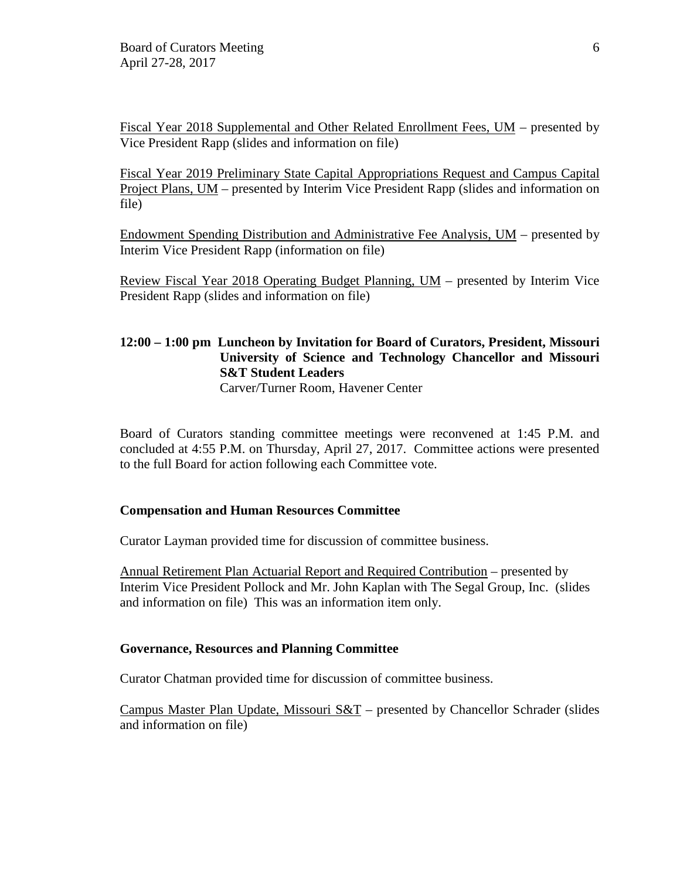Fiscal Year 2018 Supplemental and Other Related Enrollment Fees, UM – presented by Vice President Rapp (slides and information on file)

Fiscal Year 2019 Preliminary State Capital Appropriations Request and Campus Capital Project Plans, UM – presented by Interim Vice President Rapp (slides and information on file)

Endowment Spending Distribution and Administrative Fee Analysis, UM – presented by Interim Vice President Rapp (information on file)

Review Fiscal Year 2018 Operating Budget Planning, UM – presented by Interim Vice President Rapp (slides and information on file)

# **12:00 – 1:00 pm Luncheon by Invitation for Board of Curators, President, Missouri University of Science and Technology Chancellor and Missouri S&T Student Leaders**

Carver/Turner Room, Havener Center

Board of Curators standing committee meetings were reconvened at 1:45 P.M. and concluded at 4:55 P.M. on Thursday, April 27, 2017. Committee actions were presented to the full Board for action following each Committee vote.

## **Compensation and Human Resources Committee**

Curator Layman provided time for discussion of committee business.

Annual Retirement Plan Actuarial Report and Required Contribution – presented by Interim Vice President Pollock and Mr. John Kaplan with The Segal Group, Inc. (slides and information on file) This was an information item only.

## **Governance, Resources and Planning Committee**

Curator Chatman provided time for discussion of committee business.

Campus Master Plan Update, Missouri  $S&T$  – presented by Chancellor Schrader (slides and information on file)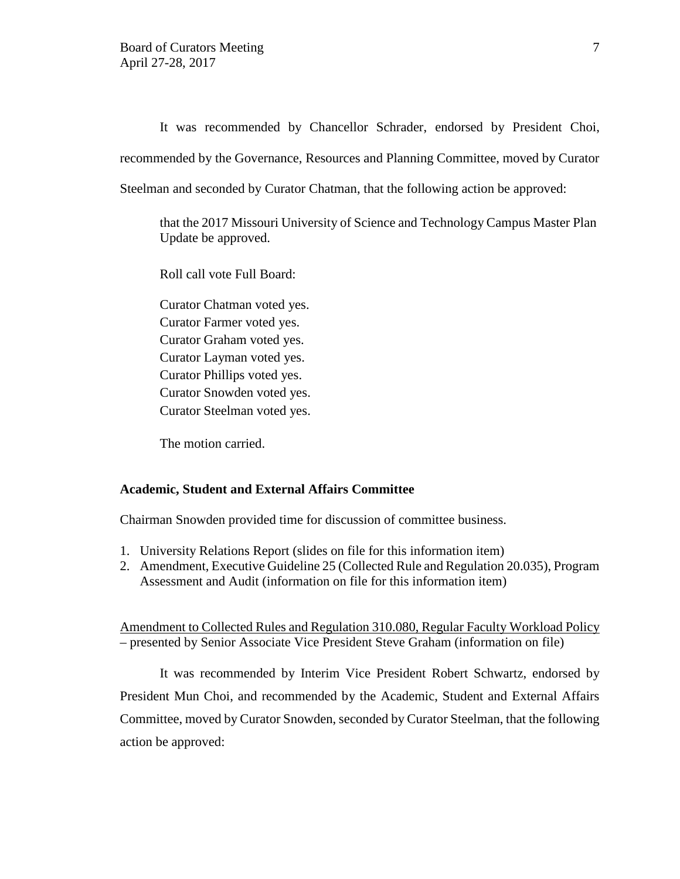It was recommended by Chancellor Schrader, endorsed by President Choi, recommended by the Governance, Resources and Planning Committee, moved by Curator

Steelman and seconded by Curator Chatman, that the following action be approved:

that the 2017 Missouri University of Science and Technology Campus Master Plan Update be approved.

Roll call vote Full Board:

Curator Chatman voted yes. Curator Farmer voted yes. Curator Graham voted yes. Curator Layman voted yes. Curator Phillips voted yes. Curator Snowden voted yes. Curator Steelman voted yes.

The motion carried.

### **Academic, Student and External Affairs Committee**

Chairman Snowden provided time for discussion of committee business.

- 1. University Relations Report (slides on file for this information item)
- 2. Amendment, Executive Guideline 25 (Collected Rule and Regulation 20.035), Program Assessment and Audit (information on file for this information item)

Amendment to Collected Rules and Regulation 310.080, Regular Faculty Workload Policy – presented by Senior Associate Vice President Steve Graham (information on file)

It was recommended by Interim Vice President Robert Schwartz, endorsed by President Mun Choi, and recommended by the Academic, Student and External Affairs Committee, moved by Curator Snowden, seconded by Curator Steelman, that the following action be approved: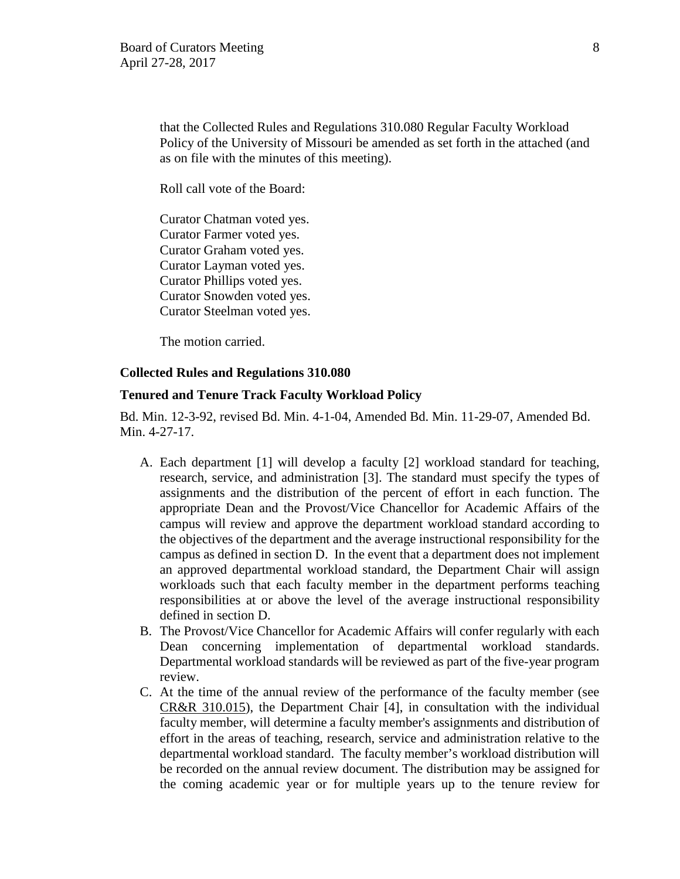that the Collected Rules and Regulations 310.080 Regular Faculty Workload Policy of the University of Missouri be amended as set forth in the attached (and as on file with the minutes of this meeting).

Roll call vote of the Board:

Curator Chatman voted yes. Curator Farmer voted yes. Curator Graham voted yes. Curator Layman voted yes. Curator Phillips voted yes. Curator Snowden voted yes. Curator Steelman voted yes.

The motion carried.

#### **Collected Rules and Regulations 310.080**

#### **Tenured and Tenure Track Faculty Workload Policy**

Bd. Min. 12-3-92, revised Bd. Min. 4-1-04, Amended Bd. Min. 11-29-07, Amended Bd. Min. 4-27-17.

- A. Each department [1] will develop a faculty [2] workload standard for teaching, research, service, and administration [3]. The standard must specify the types of assignments and the distribution of the percent of effort in each function. The appropriate Dean and the Provost/Vice Chancellor for Academic Affairs of the campus will review and approve the department workload standard according to the objectives of the department and the average instructional responsibility for the campus as defined in section D. In the event that a department does not implement an approved departmental workload standard, the Department Chair will assign workloads such that each faculty member in the department performs teaching responsibilities at or above the level of the average instructional responsibility defined in section D.
- B. The Provost/Vice Chancellor for Academic Affairs will confer regularly with each Dean concerning implementation of departmental workload standards. Departmental workload standards will be reviewed as part of the five-year program review.
- C. At the time of the annual review of the performance of the faculty member (see [CR&R 310.015\)](https://www.umsystem.edu/ums/rules/collected_rules/faculty/ch310/310.015_procedures_for_review_of_faculty_performance), the Department Chair [4], in consultation with the individual faculty member, will determine a faculty member's assignments and distribution of effort in the areas of teaching, research, service and administration relative to the departmental workload standard. The faculty member's workload distribution will be recorded on the annual review document. The distribution may be assigned for the coming academic year or for multiple years up to the tenure review for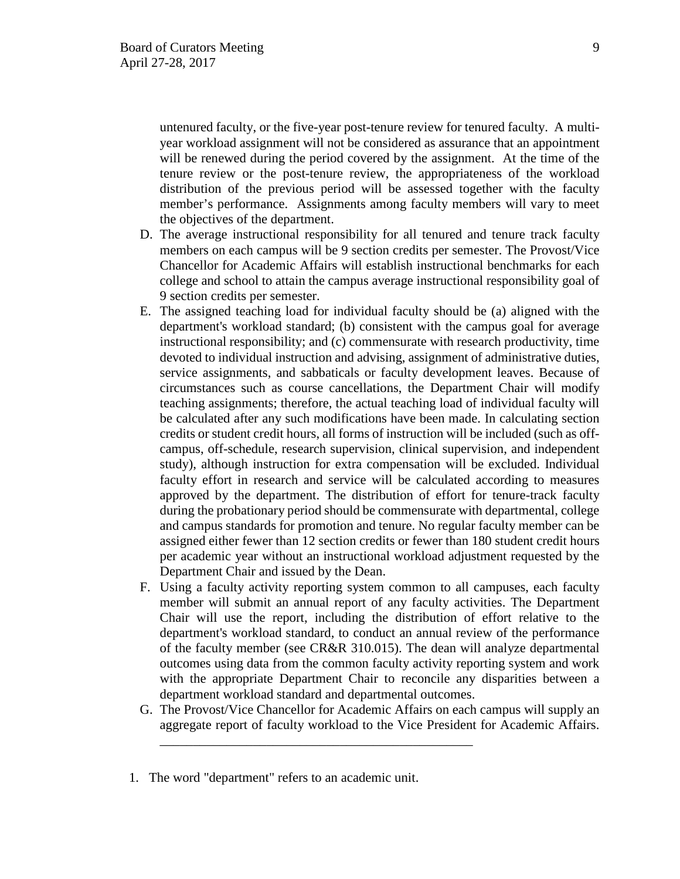untenured faculty, or the five-year post-tenure review for tenured faculty. A multiyear workload assignment will not be considered as assurance that an appointment will be renewed during the period covered by the assignment. At the time of the tenure review or the post-tenure review, the appropriateness of the workload distribution of the previous period will be assessed together with the faculty member's performance. Assignments among faculty members will vary to meet the objectives of the department.

- D. The average instructional responsibility for all tenured and tenure track faculty members on each campus will be 9 section credits per semester. The Provost/Vice Chancellor for Academic Affairs will establish instructional benchmarks for each college and school to attain the campus average instructional responsibility goal of 9 section credits per semester.
- E. The assigned teaching load for individual faculty should be (a) aligned with the department's workload standard; (b) consistent with the campus goal for average instructional responsibility; and (c) commensurate with research productivity, time devoted to individual instruction and advising, assignment of administrative duties, service assignments, and sabbaticals or faculty development leaves. Because of circumstances such as course cancellations, the Department Chair will modify teaching assignments; therefore, the actual teaching load of individual faculty will be calculated after any such modifications have been made. In calculating section credits or student credit hours, all forms of instruction will be included (such as offcampus, off-schedule, research supervision, clinical supervision, and independent study), although instruction for extra compensation will be excluded. Individual faculty effort in research and service will be calculated according to measures approved by the department. The distribution of effort for tenure-track faculty during the probationary period should be commensurate with departmental, college and campus standards for promotion and tenure. No regular faculty member can be assigned either fewer than 12 section credits or fewer than 180 student credit hours per academic year without an instructional workload adjustment requested by the Department Chair and issued by the Dean.
- F. Using a faculty activity reporting system common to all campuses, each faculty member will submit an annual report of any faculty activities. The Department Chair will use the report, including the distribution of effort relative to the department's workload standard, to conduct an annual review of the performance of the faculty member (see CR&R 310.015). The dean will analyze departmental outcomes using data from the common faculty activity reporting system and work with the appropriate Department Chair to reconcile any disparities between a department workload standard and departmental outcomes.
- G. The Provost/Vice Chancellor for Academic Affairs on each campus will supply an aggregate report of faculty workload to the Vice President for Academic Affairs.
- 1. The word "department" refers to an academic unit.

\_\_\_\_\_\_\_\_\_\_\_\_\_\_\_\_\_\_\_\_\_\_\_\_\_\_\_\_\_\_\_\_\_\_\_\_\_\_\_\_\_\_\_\_\_\_\_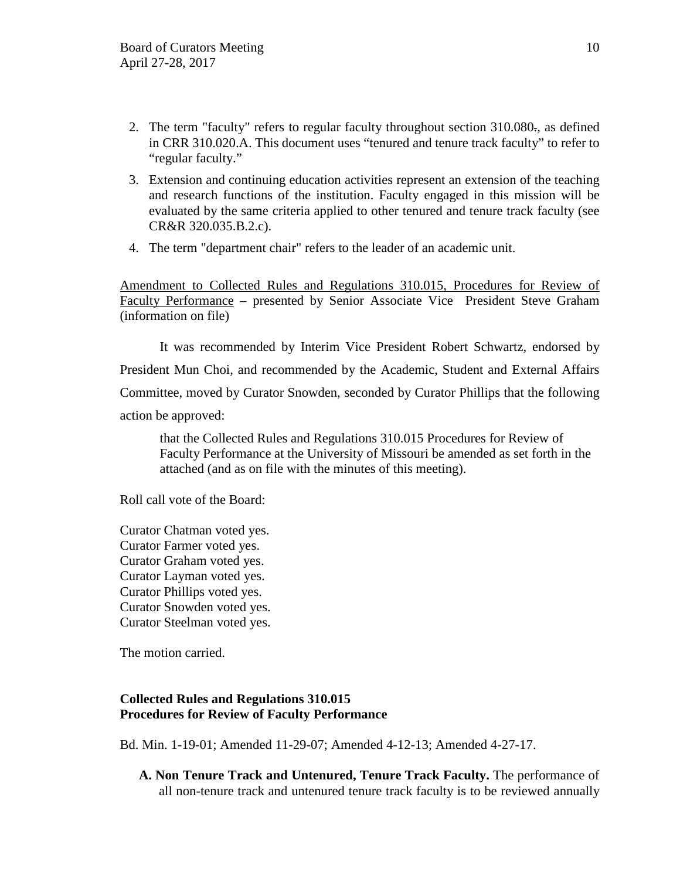- 2. The term "faculty" refers to regular faculty throughout section 310.080-, as defined in CRR 310.020.A. This document uses "tenured and tenure track faculty" to refer to "regular faculty."
- 3. Extension and continuing education activities represent an extension of the teaching and research functions of the institution. Faculty engaged in this mission will be evaluated by the same criteria applied to other tenured and tenure track faculty (see CR&R 320.035.B.2.c).
- 4. The term "department chair" refers to the leader of an academic unit.

Amendment to Collected Rules and Regulations 310.015, Procedures for Review of Faculty Performance – presented by Senior Associate Vice President Steve Graham (information on file)

It was recommended by Interim Vice President Robert Schwartz, endorsed by President Mun Choi, and recommended by the Academic, Student and External Affairs Committee, moved by Curator Snowden, seconded by Curator Phillips that the following action be approved:

that the Collected Rules and Regulations 310.015 Procedures for Review of Faculty Performance at the University of Missouri be amended as set forth in the attached (and as on file with the minutes of this meeting).

Roll call vote of the Board:

Curator Chatman voted yes. Curator Farmer voted yes. Curator Graham voted yes. Curator Layman voted yes. Curator Phillips voted yes. Curator Snowden voted yes. Curator Steelman voted yes.

The motion carried.

## **Collected Rules and Regulations 310.015 Procedures for Review of Faculty Performance**

Bd. Min. 1-19-01; Amended 11-29-07; Amended 4-12-13; Amended 4-27-17.

**A. Non Tenure Track and Untenured, Tenure Track Faculty.** The performance of all non-tenure track and untenured tenure track faculty is to be reviewed annually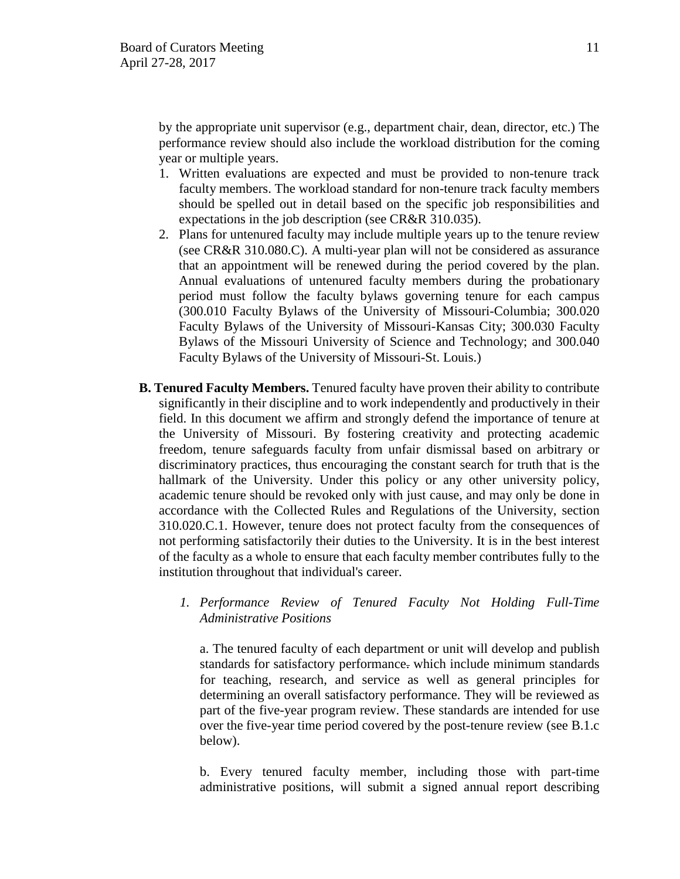by the appropriate unit supervisor (e.g., department chair, dean, director, etc.) The performance review should also include the workload distribution for the coming year or multiple years.

- 1. Written evaluations are expected and must be provided to non-tenure track faculty members. The workload standard for non-tenure track faculty members should be spelled out in detail based on the specific job responsibilities and expectations in the job description (see CR&R 310.035).
- 2. Plans for untenured faculty may include multiple years up to the tenure review (see CR&R 310.080.C). A multi-year plan will not be considered as assurance that an appointment will be renewed during the period covered by the plan. Annual evaluations of untenured faculty members during the probationary period must follow the faculty bylaws governing tenure for each campus (300.010 Faculty Bylaws of the University of Missouri-Columbia; 300.020 Faculty Bylaws of the University of Missouri-Kansas City; 300.030 Faculty Bylaws of the Missouri University of Science and Technology; and 300.040 Faculty Bylaws of the University of Missouri-St. Louis.)
- **B. Tenured Faculty Members.** Tenured faculty have proven their ability to contribute significantly in their discipline and to work independently and productively in their field. In this document we affirm and strongly defend the importance of tenure at the University of Missouri. By fostering creativity and protecting academic freedom, tenure safeguards faculty from unfair dismissal based on arbitrary or discriminatory practices, thus encouraging the constant search for truth that is the hallmark of the University. Under this policy or any other university policy, academic tenure should be revoked only with just cause, and may only be done in accordance with the Collected Rules and Regulations of the University, section 310.020.C.1. However, tenure does not protect faculty from the consequences of not performing satisfactorily their duties to the University. It is in the best interest of the faculty as a whole to ensure that each faculty member contributes fully to the institution throughout that individual's career.
	- *1. Performance Review of Tenured Faculty Not Holding Full-Time Administrative Positions*

a. The tenured faculty of each department or unit will develop and publish standards for satisfactory performance. which include minimum standards for teaching, research, and service as well as general principles for determining an overall satisfactory performance. They will be reviewed as part of the five-year program review. These standards are intended for use over the five-year time period covered by the post-tenure review (see B.1.c below).

b. Every tenured faculty member, including those with part-time administrative positions, will submit a signed annual report describing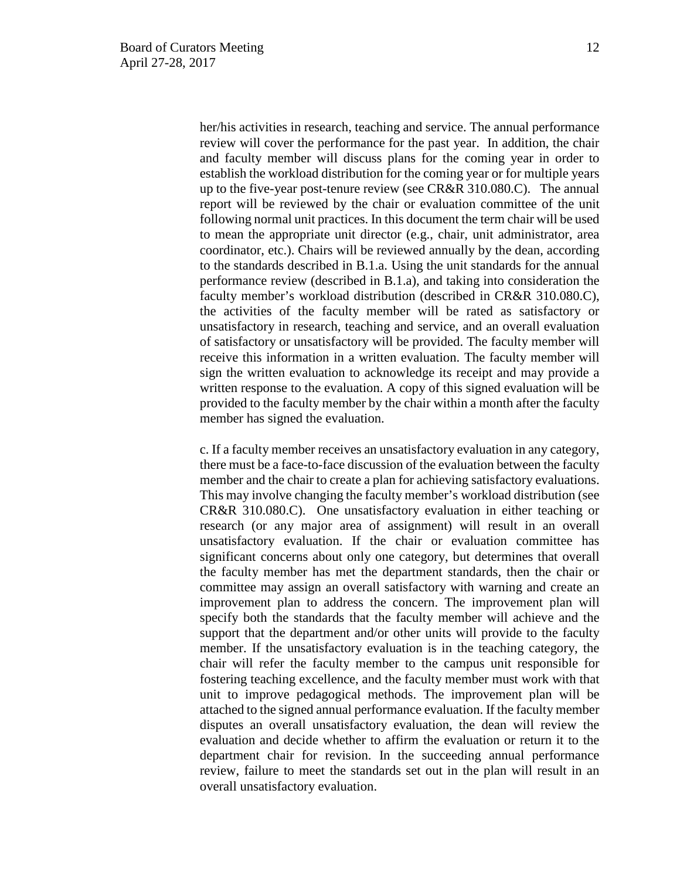her/his activities in research, teaching and service. The annual performance review will cover the performance for the past year. In addition, the chair and faculty member will discuss plans for the coming year in order to establish the workload distribution for the coming year or for multiple years up to the five-year post-tenure review (see CR&R 310.080.C). The annual report will be reviewed by the chair or evaluation committee of the unit following normal unit practices. In this document the term chair will be used to mean the appropriate unit director (e.g., chair, unit administrator, area coordinator, etc.). Chairs will be reviewed annually by the dean, according to the standards described in B.1.a. Using the unit standards for the annual performance review (described in B.1.a), and taking into consideration the faculty member's workload distribution (described in CR&R 310.080.C), the activities of the faculty member will be rated as satisfactory or unsatisfactory in research, teaching and service, and an overall evaluation of satisfactory or unsatisfactory will be provided. The faculty member will receive this information in a written evaluation. The faculty member will sign the written evaluation to acknowledge its receipt and may provide a written response to the evaluation. A copy of this signed evaluation will be provided to the faculty member by the chair within a month after the faculty member has signed the evaluation.

c. If a faculty member receives an unsatisfactory evaluation in any category, there must be a face-to-face discussion of the evaluation between the faculty member and the chair to create a plan for achieving satisfactory evaluations. This may involve changing the faculty member's workload distribution (see CR&R 310.080.C). One unsatisfactory evaluation in either teaching or research (or any major area of assignment) will result in an overall unsatisfactory evaluation. If the chair or evaluation committee has significant concerns about only one category, but determines that overall the faculty member has met the department standards, then the chair or committee may assign an overall satisfactory with warning and create an improvement plan to address the concern. The improvement plan will specify both the standards that the faculty member will achieve and the support that the department and/or other units will provide to the faculty member. If the unsatisfactory evaluation is in the teaching category, the chair will refer the faculty member to the campus unit responsible for fostering teaching excellence, and the faculty member must work with that unit to improve pedagogical methods. The improvement plan will be attached to the signed annual performance evaluation. If the faculty member disputes an overall unsatisfactory evaluation, the dean will review the evaluation and decide whether to affirm the evaluation or return it to the department chair for revision. In the succeeding annual performance review, failure to meet the standards set out in the plan will result in an overall unsatisfactory evaluation.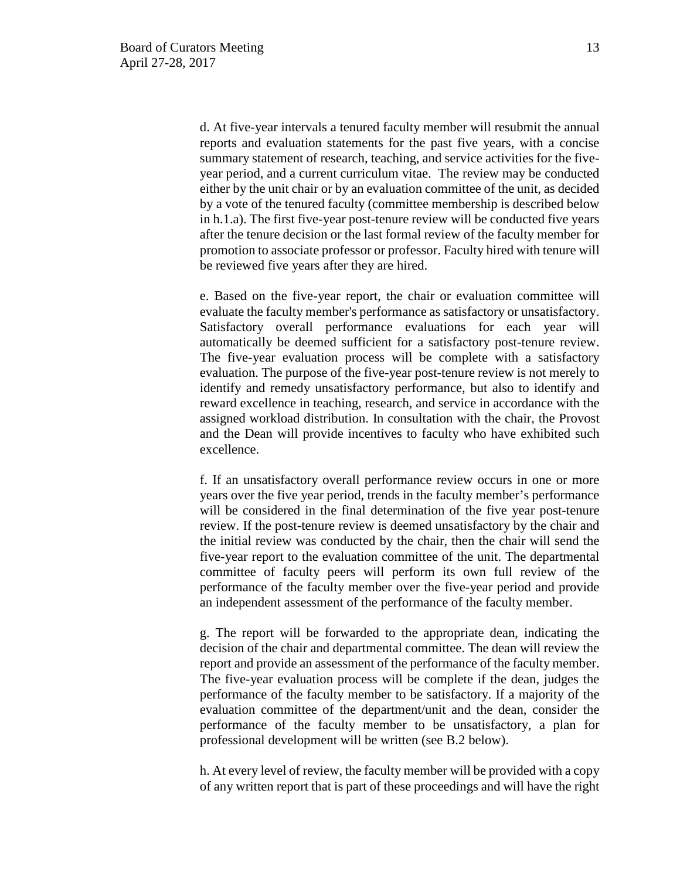d. At five-year intervals a tenured faculty member will resubmit the annual reports and evaluation statements for the past five years, with a concise summary statement of research, teaching, and service activities for the fiveyear period, and a current curriculum vitae. The review may be conducted either by the unit chair or by an evaluation committee of the unit, as decided by a vote of the tenured faculty (committee membership is described below in h.1.a). The first five-year post-tenure review will be conducted five years after the tenure decision or the last formal review of the faculty member for promotion to associate professor or professor. Faculty hired with tenure will be reviewed five years after they are hired.

e. Based on the five-year report, the chair or evaluation committee will evaluate the faculty member's performance as satisfactory or unsatisfactory. Satisfactory overall performance evaluations for each year will automatically be deemed sufficient for a satisfactory post-tenure review. The five-year evaluation process will be complete with a satisfactory evaluation. The purpose of the five-year post-tenure review is not merely to identify and remedy unsatisfactory performance, but also to identify and reward excellence in teaching, research, and service in accordance with the assigned workload distribution. In consultation with the chair, the Provost and the Dean will provide incentives to faculty who have exhibited such excellence.

f. If an unsatisfactory overall performance review occurs in one or more years over the five year period, trends in the faculty member's performance will be considered in the final determination of the five year post-tenure review. If the post-tenure review is deemed unsatisfactory by the chair and the initial review was conducted by the chair, then the chair will send the five-year report to the evaluation committee of the unit. The departmental committee of faculty peers will perform its own full review of the performance of the faculty member over the five-year period and provide an independent assessment of the performance of the faculty member.

g. The report will be forwarded to the appropriate dean, indicating the decision of the chair and departmental committee. The dean will review the report and provide an assessment of the performance of the faculty member. The five-year evaluation process will be complete if the dean, judges the performance of the faculty member to be satisfactory. If a majority of the evaluation committee of the department/unit and the dean, consider the performance of the faculty member to be unsatisfactory, a plan for professional development will be written (see B.2 below).

h. At every level of review, the faculty member will be provided with a copy of any written report that is part of these proceedings and will have the right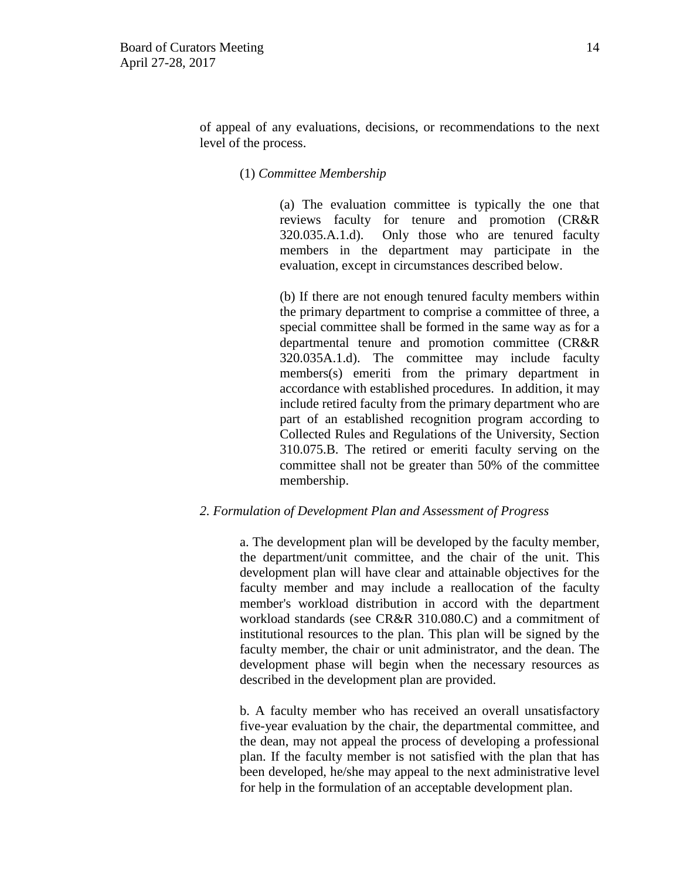of appeal of any evaluations, decisions, or recommendations to the next level of the process.

(1) *Committee Membership*

(a) The evaluation committee is typically the one that reviews faculty for tenure and promotion (CR&R 320.035.A.1.d). Only those who are tenured faculty members in the department may participate in the evaluation, except in circumstances described below.

(b) If there are not enough tenured faculty members within the primary department to comprise a committee of three, a special committee shall be formed in the same way as for a departmental tenure and promotion committee (CR&R 320.035A.1.d). The committee may include faculty members(s) emeriti from the primary department in accordance with established procedures. In addition, it may include retired faculty from the primary department who are part of an established recognition program according to Collected Rules and Regulations of the University, Section 310.075.B. The retired or emeriti faculty serving on the committee shall not be greater than 50% of the committee membership.

#### *2. Formulation of Development Plan and Assessment of Progress*

a. The development plan will be developed by the faculty member, the department/unit committee, and the chair of the unit. This development plan will have clear and attainable objectives for the faculty member and may include a reallocation of the faculty member's workload distribution in accord with the department workload standards (see CR&R 310.080.C) and a commitment of institutional resources to the plan. This plan will be signed by the faculty member, the chair or unit administrator, and the dean. The development phase will begin when the necessary resources as described in the development plan are provided.

b. A faculty member who has received an overall unsatisfactory five-year evaluation by the chair, the departmental committee, and the dean, may not appeal the process of developing a professional plan. If the faculty member is not satisfied with the plan that has been developed, he/she may appeal to the next administrative level for help in the formulation of an acceptable development plan.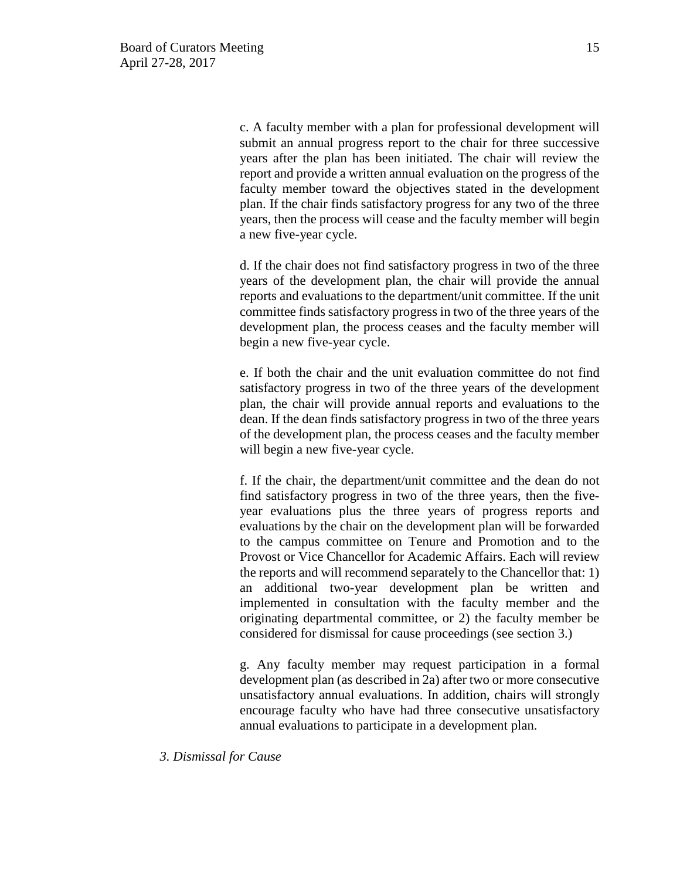c. A faculty member with a plan for professional development will submit an annual progress report to the chair for three successive years after the plan has been initiated. The chair will review the report and provide a written annual evaluation on the progress of the faculty member toward the objectives stated in the development plan. If the chair finds satisfactory progress for any two of the three years, then the process will cease and the faculty member will begin a new five-year cycle.

d. If the chair does not find satisfactory progress in two of the three years of the development plan, the chair will provide the annual reports and evaluations to the department/unit committee. If the unit committee finds satisfactory progress in two of the three years of the development plan, the process ceases and the faculty member will begin a new five-year cycle.

e. If both the chair and the unit evaluation committee do not find satisfactory progress in two of the three years of the development plan, the chair will provide annual reports and evaluations to the dean. If the dean finds satisfactory progress in two of the three years of the development plan, the process ceases and the faculty member will begin a new five-year cycle.

f. If the chair, the department/unit committee and the dean do not find satisfactory progress in two of the three years, then the fiveyear evaluations plus the three years of progress reports and evaluations by the chair on the development plan will be forwarded to the campus committee on Tenure and Promotion and to the Provost or Vice Chancellor for Academic Affairs. Each will review the reports and will recommend separately to the Chancellor that: 1) an additional two-year development plan be written and implemented in consultation with the faculty member and the originating departmental committee, or 2) the faculty member be considered for dismissal for cause proceedings (see section 3.)

g. Any faculty member may request participation in a formal development plan (as described in 2a) after two or more consecutive unsatisfactory annual evaluations. In addition, chairs will strongly encourage faculty who have had three consecutive unsatisfactory annual evaluations to participate in a development plan.

*3. Dismissal for Cause*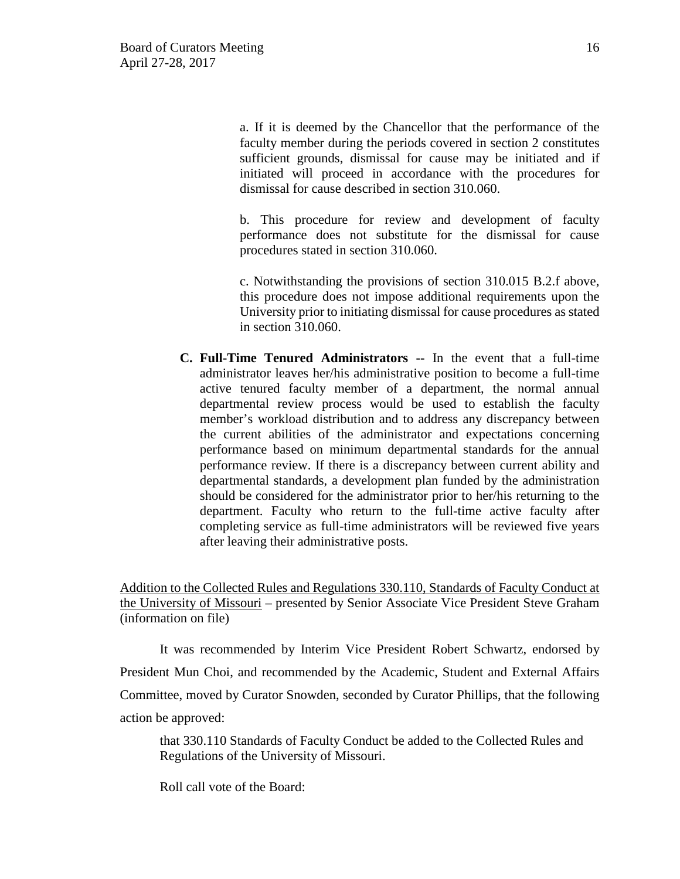a. If it is deemed by the Chancellor that the performance of the faculty member during the periods covered in section 2 constitutes sufficient grounds, dismissal for cause may be initiated and if initiated will proceed in accordance with the procedures for dismissal for cause described in section 310.060.

b. This procedure for review and development of faculty performance does not substitute for the dismissal for cause procedures stated in section 310.060.

c. Notwithstanding the provisions of section 310.015 B.2.f above, this procedure does not impose additional requirements upon the University prior to initiating dismissal for cause procedures as stated in section 310.060.

**C. Full-Time Tenured Administrators --** In the event that a full-time administrator leaves her/his administrative position to become a full-time active tenured faculty member of a department, the normal annual departmental review process would be used to establish the faculty member's workload distribution and to address any discrepancy between the current abilities of the administrator and expectations concerning performance based on minimum departmental standards for the annual performance review. If there is a discrepancy between current ability and departmental standards, a development plan funded by the administration should be considered for the administrator prior to her/his returning to the department. Faculty who return to the full-time active faculty after completing service as full-time administrators will be reviewed five years after leaving their administrative posts.

Addition to the Collected Rules and Regulations 330.110, Standards of Faculty Conduct at the University of Missouri – presented by Senior Associate Vice President Steve Graham (information on file)

It was recommended by Interim Vice President Robert Schwartz, endorsed by President Mun Choi, and recommended by the Academic, Student and External Affairs Committee, moved by Curator Snowden, seconded by Curator Phillips, that the following action be approved:

that 330.110 Standards of Faculty Conduct be added to the Collected Rules and Regulations of the University of Missouri.

Roll call vote of the Board: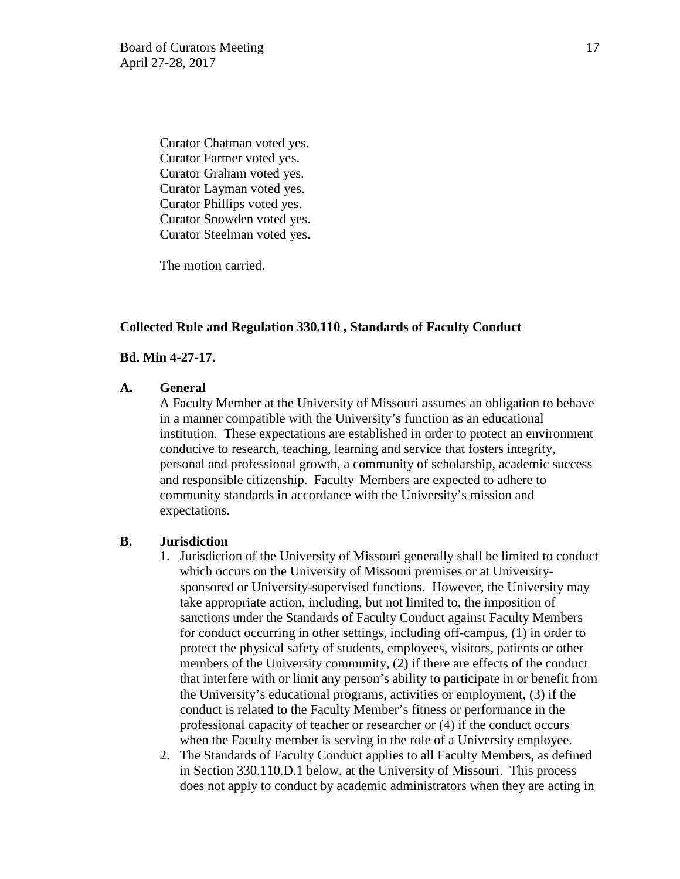Curator Chatman voted yes. Curator Farmer voted yes. Curator Graham voted yes. Curator Layman voted yes. Curator Phillips voted yes. Curator Snowden voted yes. Curator Steelman voted yes.

The motion carried.

### **Collected Rule and Regulation 330.110 , Standards of Faculty Conduct**

### **Bd. Min 4-27-17.**

### **A. General**

 A Faculty Member at the University of Missouri assumes an obligation to behave in a manner compatible with the University's function as an educational institution. These expectations are established in order to protect an environment conducive to research, teaching, learning and service that fosters integrity, personal and professional growth, a community of scholarship, academic success and responsible citizenship. Faculty Members are expected to adhere to community standards in accordance with the University's mission and expectations.

#### **B. Jurisdiction**

- 1. Jurisdiction of the University of Missouri generally shall be limited to conduct which occurs on the University of Missouri premises or at Universitysponsored or University-supervised functions. However, the University may take appropriate action, including, but not limited to, the imposition of sanctions under the Standards of Faculty Conduct against Faculty Members for conduct occurring in other settings, including off-campus, (1) in order to protect the physical safety of students, employees, visitors, patients or other members of the University community, (2) if there are effects of the conduct that interfere with or limit any person's ability to participate in or benefit from the University's educational programs, activities or employment, (3) if the conduct is related to the Faculty Member's fitness or performance in the professional capacity of teacher or researcher or (4) if the conduct occurs when the Faculty member is serving in the role of a University employee.
- 2. The Standards of Faculty Conduct applies to all Faculty Members, as defined in Section 330.110.D.1 below, at the University of Missouri. This process does not apply to conduct by academic administrators when they are acting in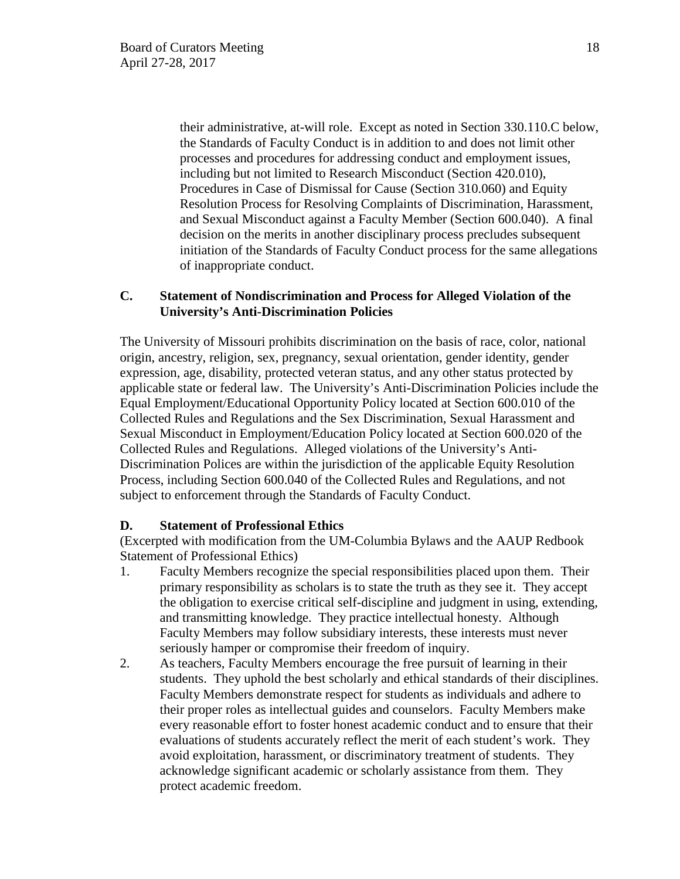their administrative, at-will role. Except as noted in Section 330.110.C below, the Standards of Faculty Conduct is in addition to and does not limit other processes and procedures for addressing conduct and employment issues, including but not limited to Research Misconduct (Section 420.010), Procedures in Case of Dismissal for Cause (Section 310.060) and Equity Resolution Process for Resolving Complaints of Discrimination, Harassment, and Sexual Misconduct against a Faculty Member (Section 600.040). A final decision on the merits in another disciplinary process precludes subsequent initiation of the Standards of Faculty Conduct process for the same allegations of inappropriate conduct.

## **C. Statement of Nondiscrimination and Process for Alleged Violation of the University's Anti-Discrimination Policies**

The University of Missouri prohibits discrimination on the basis of race, color, national origin, ancestry, religion, sex, pregnancy, sexual orientation, gender identity, gender expression, age, disability, protected veteran status, and any other status protected by applicable state or federal law. The University's Anti-Discrimination Policies include the Equal Employment/Educational Opportunity Policy located at Section 600.010 of the Collected Rules and Regulations and the Sex Discrimination, Sexual Harassment and Sexual Misconduct in Employment/Education Policy located at Section 600.020 of the Collected Rules and Regulations. Alleged violations of the University's Anti-Discrimination Polices are within the jurisdiction of the applicable Equity Resolution Process, including Section 600.040 of the Collected Rules and Regulations, and not subject to enforcement through the Standards of Faculty Conduct.

# **D. Statement of Professional Ethics**

(Excerpted with modification from the UM-Columbia Bylaws and the AAUP Redbook Statement of Professional Ethics)

- 1. Faculty Members recognize the special responsibilities placed upon them. Their primary responsibility as scholars is to state the truth as they see it. They accept the obligation to exercise critical self-discipline and judgment in using, extending, and transmitting knowledge. They practice intellectual honesty. Although Faculty Members may follow subsidiary interests, these interests must never seriously hamper or compromise their freedom of inquiry.
- 2. As teachers, Faculty Members encourage the free pursuit of learning in their students. They uphold the best scholarly and ethical standards of their disciplines. Faculty Members demonstrate respect for students as individuals and adhere to their proper roles as intellectual guides and counselors. Faculty Members make every reasonable effort to foster honest academic conduct and to ensure that their evaluations of students accurately reflect the merit of each student's work. They avoid exploitation, harassment, or discriminatory treatment of students. They acknowledge significant academic or scholarly assistance from them. They protect academic freedom.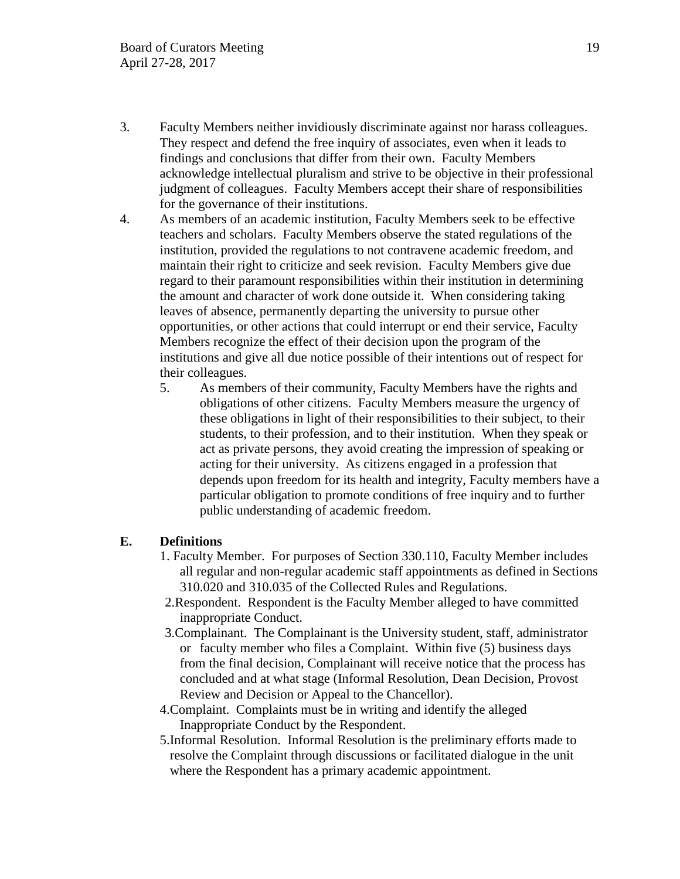- 3. Faculty Members neither invidiously discriminate against nor harass colleagues. They respect and defend the free inquiry of associates, even when it leads to findings and conclusions that differ from their own. Faculty Members acknowledge intellectual pluralism and strive to be objective in their professional judgment of colleagues. Faculty Members accept their share of responsibilities for the governance of their institutions.
- 4. As members of an academic institution, Faculty Members seek to be effective teachers and scholars. Faculty Members observe the stated regulations of the institution, provided the regulations to not contravene academic freedom, and maintain their right to criticize and seek revision. Faculty Members give due regard to their paramount responsibilities within their institution in determining the amount and character of work done outside it. When considering taking leaves of absence, permanently departing the university to pursue other opportunities, or other actions that could interrupt or end their service, Faculty Members recognize the effect of their decision upon the program of the institutions and give all due notice possible of their intentions out of respect for their colleagues.
	- 5. As members of their community, Faculty Members have the rights and obligations of other citizens. Faculty Members measure the urgency of these obligations in light of their responsibilities to their subject, to their students, to their profession, and to their institution. When they speak or act as private persons, they avoid creating the impression of speaking or acting for their university. As citizens engaged in a profession that depends upon freedom for its health and integrity, Faculty members have a particular obligation to promote conditions of free inquiry and to further public understanding of academic freedom.

## **E. Definitions**

- 1. Faculty Member. For purposes of Section 330.110, Faculty Member includes all regular and non-regular academic staff appointments as defined in Sections 310.020 and 310.035 of the Collected Rules and Regulations.
- 2.Respondent. Respondent is the Faculty Member alleged to have committed inappropriate Conduct.
- 3.Complainant. The Complainant is the University student, staff, administrator or faculty member who files a Complaint. Within five (5) business days from the final decision, Complainant will receive notice that the process has concluded and at what stage (Informal Resolution, Dean Decision, Provost Review and Decision or Appeal to the Chancellor).
- 4.Complaint. Complaints must be in writing and identify the alleged Inappropriate Conduct by the Respondent.
- 5.Informal Resolution. Informal Resolution is the preliminary efforts made to resolve the Complaint through discussions or facilitated dialogue in the unit where the Respondent has a primary academic appointment.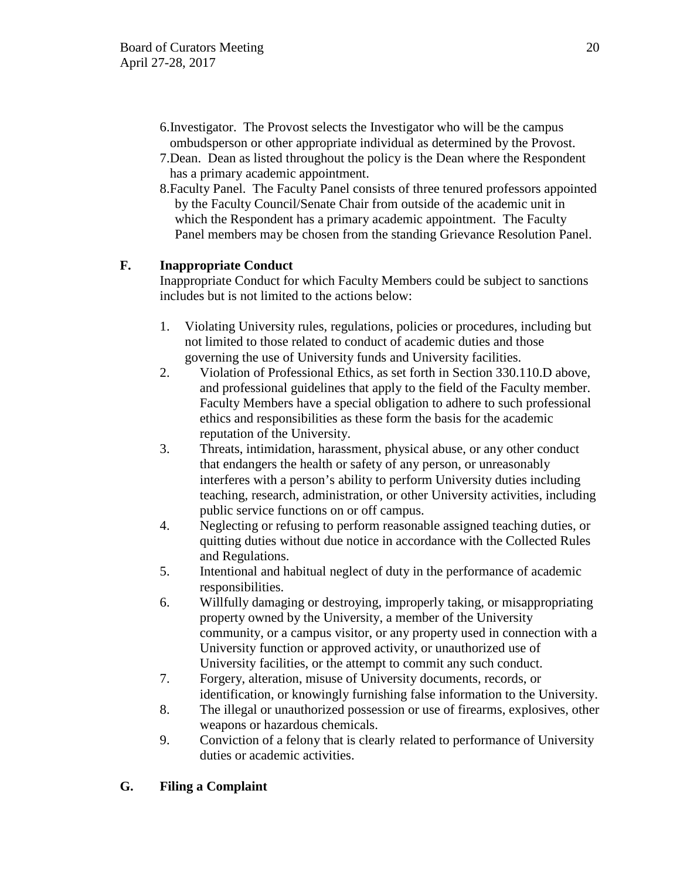- 6.Investigator. The Provost selects the Investigator who will be the campus ombudsperson or other appropriate individual as determined by the Provost.
- 7.Dean. Dean as listed throughout the policy is the Dean where the Respondent has a primary academic appointment.
- 8.Faculty Panel. The Faculty Panel consists of three tenured professors appointed by the Faculty Council/Senate Chair from outside of the academic unit in which the Respondent has a primary academic appointment. The Faculty Panel members may be chosen from the standing Grievance Resolution Panel.

# **F. Inappropriate Conduct**

Inappropriate Conduct for which Faculty Members could be subject to sanctions includes but is not limited to the actions below:

- 1. Violating University rules, regulations, policies or procedures, including but not limited to those related to conduct of academic duties and those governing the use of University funds and University facilities.
- 2. Violation of Professional Ethics, as set forth in Section 330.110.D above, and professional guidelines that apply to the field of the Faculty member. Faculty Members have a special obligation to adhere to such professional ethics and responsibilities as these form the basis for the academic reputation of the University.
- 3. Threats, intimidation, harassment, physical abuse, or any other conduct that endangers the health or safety of any person, or unreasonably interferes with a person's ability to perform University duties including teaching, research, administration, or other University activities, including public service functions on or off campus.
- 4. Neglecting or refusing to perform reasonable assigned teaching duties, or quitting duties without due notice in accordance with the Collected Rules and Regulations.
- 5. Intentional and habitual neglect of duty in the performance of academic responsibilities.
- 6. Willfully damaging or destroying, improperly taking, or misappropriating property owned by the University, a member of the University community, or a campus visitor, or any property used in connection with a University function or approved activity, or unauthorized use of University facilities, or the attempt to commit any such conduct.
- 7. Forgery, alteration, misuse of University documents, records, or identification, or knowingly furnishing false information to the University.
- 8. The illegal or unauthorized possession or use of firearms, explosives, other weapons or hazardous chemicals.
- 9. Conviction of a felony that is clearly related to performance of University duties or academic activities.

# **G. Filing a Complaint**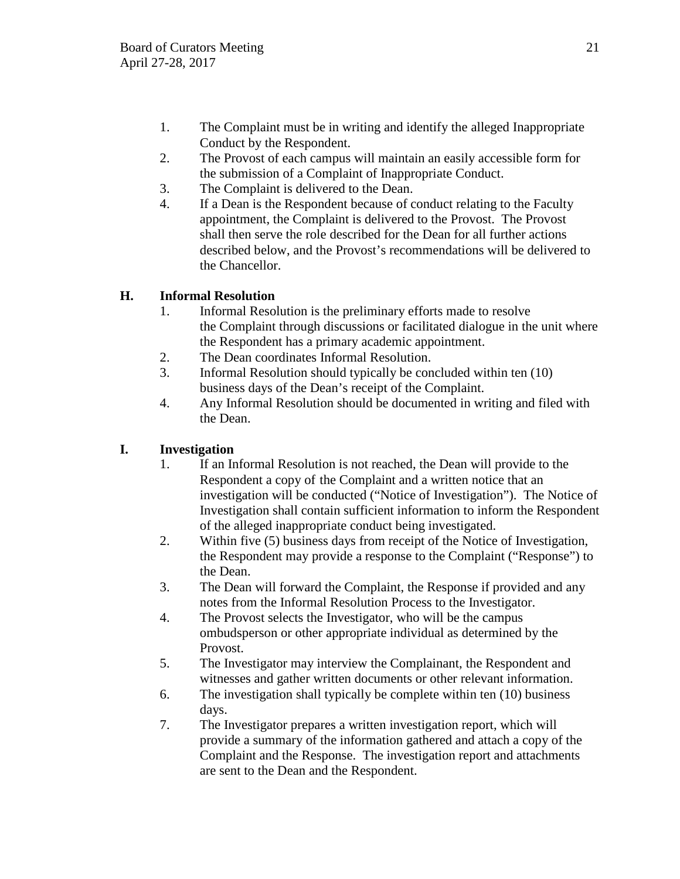- 1. The Complaint must be in writing and identify the alleged Inappropriate Conduct by the Respondent.
- 2. The Provost of each campus will maintain an easily accessible form for the submission of a Complaint of Inappropriate Conduct.
- 3. The Complaint is delivered to the Dean.
- 4. If a Dean is the Respondent because of conduct relating to the Faculty appointment, the Complaint is delivered to the Provost. The Provost shall then serve the role described for the Dean for all further actions described below, and the Provost's recommendations will be delivered to the Chancellor.

# **H. Informal Resolution**

- 1. Informal Resolution is the preliminary efforts made to resolve the Complaint through discussions or facilitated dialogue in the unit where the Respondent has a primary academic appointment.
- 2. The Dean coordinates Informal Resolution.
- 3. Informal Resolution should typically be concluded within ten (10) business days of the Dean's receipt of the Complaint.
- 4. Any Informal Resolution should be documented in writing and filed with the Dean.

# **I. Investigation**

- 1. If an Informal Resolution is not reached, the Dean will provide to the Respondent a copy of the Complaint and a written notice that an investigation will be conducted ("Notice of Investigation"). The Notice of Investigation shall contain sufficient information to inform the Respondent of the alleged inappropriate conduct being investigated.
- 2. Within five (5) business days from receipt of the Notice of Investigation, the Respondent may provide a response to the Complaint ("Response") to the Dean.
- 3. The Dean will forward the Complaint, the Response if provided and any notes from the Informal Resolution Process to the Investigator.
- 4. The Provost selects the Investigator, who will be the campus ombudsperson or other appropriate individual as determined by the Provost.
- 5. The Investigator may interview the Complainant, the Respondent and witnesses and gather written documents or other relevant information.
- 6. The investigation shall typically be complete within ten (10) business days.
- 7. The Investigator prepares a written investigation report, which will provide a summary of the information gathered and attach a copy of the Complaint and the Response. The investigation report and attachments are sent to the Dean and the Respondent.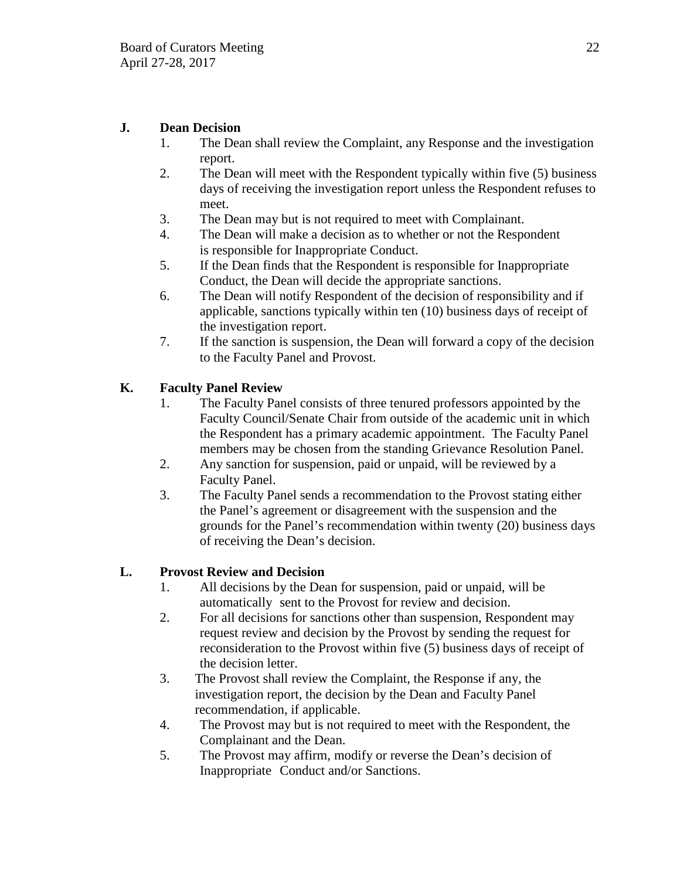# **J. Dean Decision**

- 1. The Dean shall review the Complaint, any Response and the investigation report.
- 2. The Dean will meet with the Respondent typically within five (5) business days of receiving the investigation report unless the Respondent refuses to meet.
- 3. The Dean may but is not required to meet with Complainant.
- 4. The Dean will make a decision as to whether or not the Respondent is responsible for Inappropriate Conduct.
- 5. If the Dean finds that the Respondent is responsible for Inappropriate Conduct, the Dean will decide the appropriate sanctions.
- 6. The Dean will notify Respondent of the decision of responsibility and if applicable, sanctions typically within ten (10) business days of receipt of the investigation report.
- 7. If the sanction is suspension, the Dean will forward a copy of the decision to the Faculty Panel and Provost.

# **K. Faculty Panel Review**

- 1. The Faculty Panel consists of three tenured professors appointed by the Faculty Council/Senate Chair from outside of the academic unit in which the Respondent has a primary academic appointment. The Faculty Panel members may be chosen from the standing Grievance Resolution Panel.
- 2. Any sanction for suspension, paid or unpaid, will be reviewed by a Faculty Panel.
- 3. The Faculty Panel sends a recommendation to the Provost stating either the Panel's agreement or disagreement with the suspension and the grounds for the Panel's recommendation within twenty (20) business days of receiving the Dean's decision.

# **L. Provost Review and Decision**

- 1. All decisions by the Dean for suspension, paid or unpaid, will be automatically sent to the Provost for review and decision.
- 2. For all decisions for sanctions other than suspension, Respondent may request review and decision by the Provost by sending the request for reconsideration to the Provost within five (5) business days of receipt of the decision letter.
- 3. The Provost shall review the Complaint, the Response if any, the investigation report, the decision by the Dean and Faculty Panel recommendation, if applicable.
- 4. The Provost may but is not required to meet with the Respondent, the Complainant and the Dean.
- 5. The Provost may affirm, modify or reverse the Dean's decision of Inappropriate Conduct and/or Sanctions.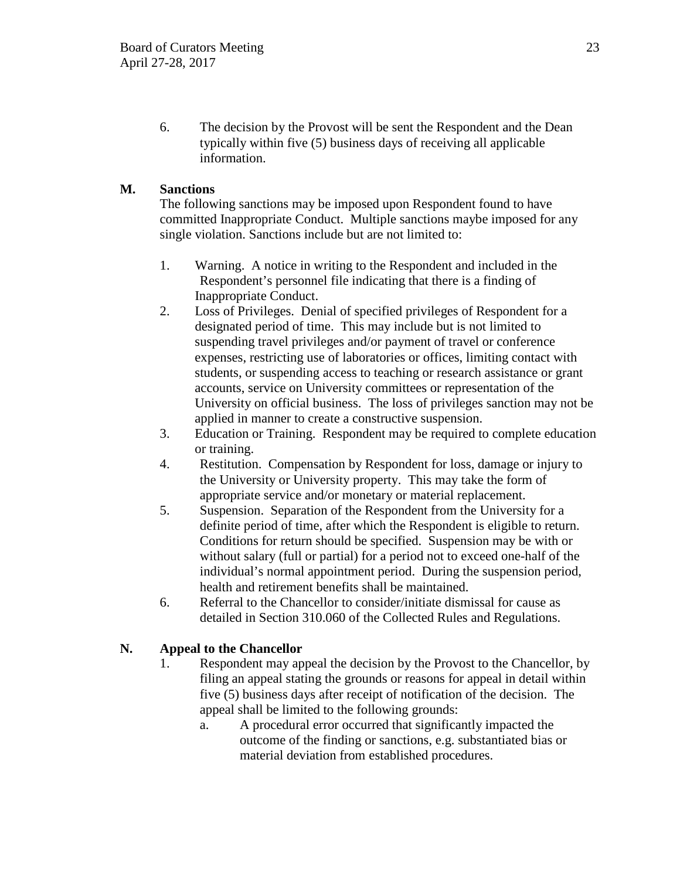6. The decision by the Provost will be sent the Respondent and the Dean typically within five (5) business days of receiving all applicable information.

# **M. Sanctions**

 The following sanctions may be imposed upon Respondent found to have committed Inappropriate Conduct. Multiple sanctions maybe imposed for any single violation. Sanctions include but are not limited to:

- 1. Warning. A notice in writing to the Respondent and included in the Respondent's personnel file indicating that there is a finding of Inappropriate Conduct.
- 2. Loss of Privileges. Denial of specified privileges of Respondent for a designated period of time. This may include but is not limited to suspending travel privileges and/or payment of travel or conference expenses, restricting use of laboratories or offices, limiting contact with students, or suspending access to teaching or research assistance or grant accounts, service on University committees or representation of the University on official business. The loss of privileges sanction may not be applied in manner to create a constructive suspension.
- 3. Education or Training. Respondent may be required to complete education or training.
- 4. Restitution. Compensation by Respondent for loss, damage or injury to the University or University property. This may take the form of appropriate service and/or monetary or material replacement.
- 5. Suspension. Separation of the Respondent from the University for a definite period of time, after which the Respondent is eligible to return. Conditions for return should be specified. Suspension may be with or without salary (full or partial) for a period not to exceed one-half of the individual's normal appointment period. During the suspension period, health and retirement benefits shall be maintained.
- 6. Referral to the Chancellor to consider/initiate dismissal for cause as detailed in Section 310.060 of the Collected Rules and Regulations.

# **N. Appeal to the Chancellor**

- 1. Respondent may appeal the decision by the Provost to the Chancellor, by filing an appeal stating the grounds or reasons for appeal in detail within five (5) business days after receipt of notification of the decision. The appeal shall be limited to the following grounds:
	- a. A procedural error occurred that significantly impacted the outcome of the finding or sanctions, e.g. substantiated bias or material deviation from established procedures.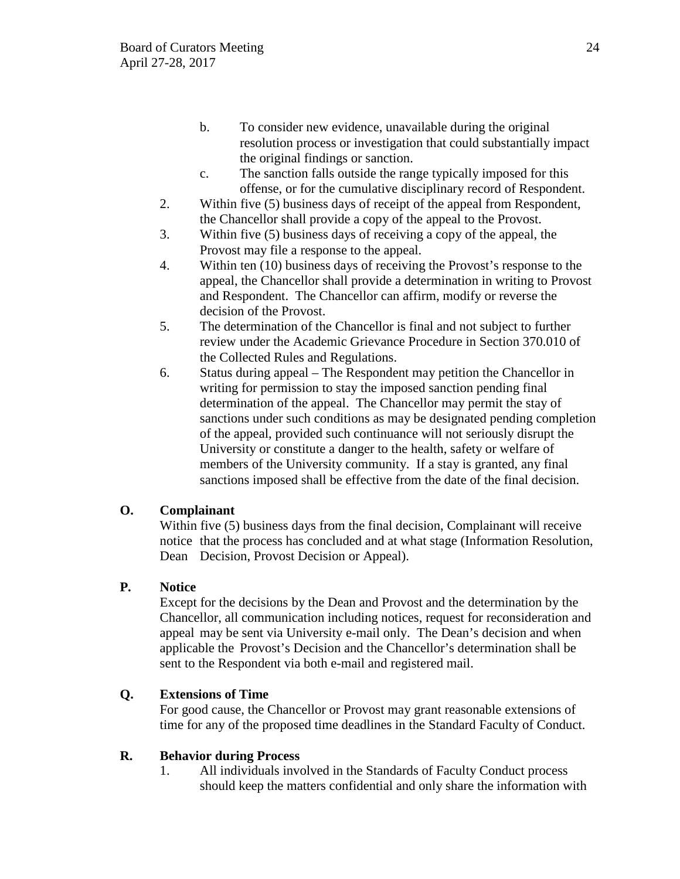- b. To consider new evidence, unavailable during the original resolution process or investigation that could substantially impact the original findings or sanction.
- c. The sanction falls outside the range typically imposed for this offense, or for the cumulative disciplinary record of Respondent.
- 2. Within five (5) business days of receipt of the appeal from Respondent, the Chancellor shall provide a copy of the appeal to the Provost.
- 3. Within five (5) business days of receiving a copy of the appeal, the Provost may file a response to the appeal.
- 4. Within ten (10) business days of receiving the Provost's response to the appeal, the Chancellor shall provide a determination in writing to Provost and Respondent. The Chancellor can affirm, modify or reverse the decision of the Provost.
- 5. The determination of the Chancellor is final and not subject to further review under the Academic Grievance Procedure in Section 370.010 of the Collected Rules and Regulations.
- 6. Status during appeal The Respondent may petition the Chancellor in writing for permission to stay the imposed sanction pending final determination of the appeal. The Chancellor may permit the stay of sanctions under such conditions as may be designated pending completion of the appeal, provided such continuance will not seriously disrupt the University or constitute a danger to the health, safety or welfare of members of the University community. If a stay is granted, any final sanctions imposed shall be effective from the date of the final decision.

# **O. Complainant**

Within five (5) business days from the final decision, Complainant will receive notice that the process has concluded and at what stage (Information Resolution, Dean Decision, Provost Decision or Appeal).

# **P. Notice**

Except for the decisions by the Dean and Provost and the determination by the Chancellor, all communication including notices, request for reconsideration and appeal may be sent via University e-mail only. The Dean's decision and when applicable the Provost's Decision and the Chancellor's determination shall be sent to the Respondent via both e-mail and registered mail.

# **Q. Extensions of Time**

For good cause, the Chancellor or Provost may grant reasonable extensions of time for any of the proposed time deadlines in the Standard Faculty of Conduct.

# **R. Behavior during Process**

1. All individuals involved in the Standards of Faculty Conduct process should keep the matters confidential and only share the information with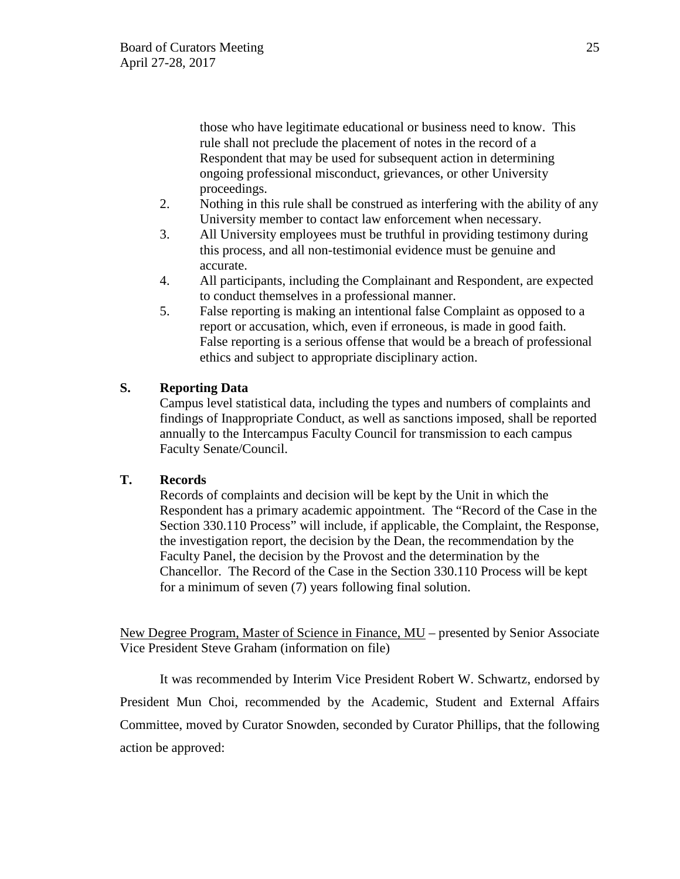those who have legitimate educational or business need to know. This rule shall not preclude the placement of notes in the record of a Respondent that may be used for subsequent action in determining ongoing professional misconduct, grievances, or other University proceedings.

- 2. Nothing in this rule shall be construed as interfering with the ability of any University member to contact law enforcement when necessary.
- 3. All University employees must be truthful in providing testimony during this process, and all non-testimonial evidence must be genuine and accurate.
- 4. All participants, including the Complainant and Respondent, are expected to conduct themselves in a professional manner.
- 5. False reporting is making an intentional false Complaint as opposed to a report or accusation, which, even if erroneous, is made in good faith. False reporting is a serious offense that would be a breach of professional ethics and subject to appropriate disciplinary action.

# **S. Reporting Data**

Campus level statistical data, including the types and numbers of complaints and findings of Inappropriate Conduct, as well as sanctions imposed, shall be reported annually to the Intercampus Faculty Council for transmission to each campus Faculty Senate/Council.

# **T. Records**

Records of complaints and decision will be kept by the Unit in which the Respondent has a primary academic appointment. The "Record of the Case in the Section 330.110 Process" will include, if applicable, the Complaint, the Response, the investigation report, the decision by the Dean, the recommendation by the Faculty Panel, the decision by the Provost and the determination by the Chancellor. The Record of the Case in the Section 330.110 Process will be kept for a minimum of seven (7) years following final solution.

New Degree Program, Master of Science in Finance, MU – presented by Senior Associate Vice President Steve Graham (information on file)

It was recommended by Interim Vice President Robert W. Schwartz, endorsed by President Mun Choi, recommended by the Academic, Student and External Affairs Committee, moved by Curator Snowden, seconded by Curator Phillips, that the following action be approved: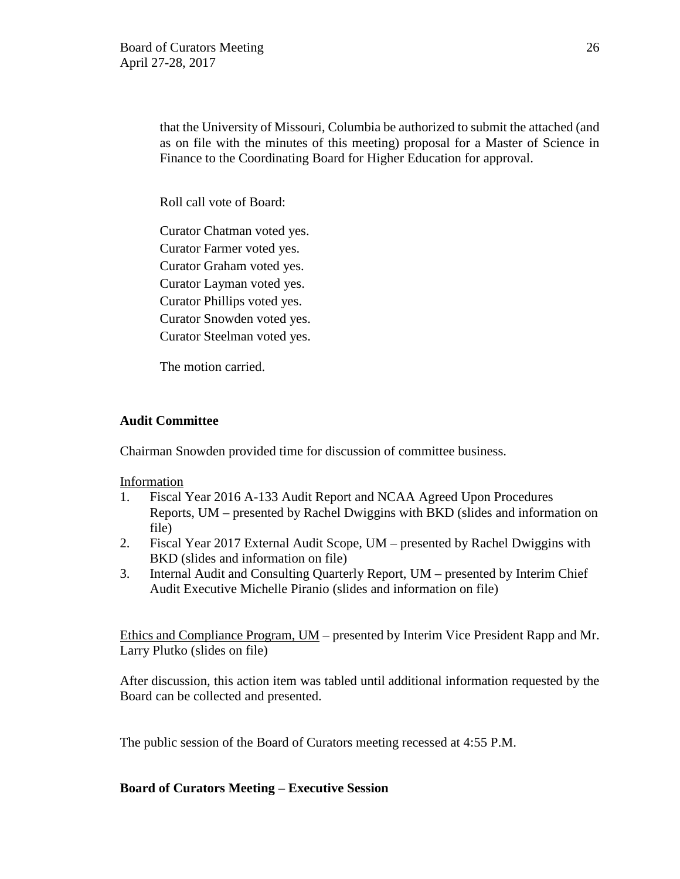that the University of Missouri, Columbia be authorized to submit the attached (and as on file with the minutes of this meeting) proposal for a Master of Science in Finance to the Coordinating Board for Higher Education for approval.

Roll call vote of Board:

Curator Chatman voted yes. Curator Farmer voted yes. Curator Graham voted yes. Curator Layman voted yes. Curator Phillips voted yes. Curator Snowden voted yes. Curator Steelman voted yes.

The motion carried.

# **Audit Committee**

Chairman Snowden provided time for discussion of committee business.

Information

- 1. Fiscal Year 2016 A-133 Audit Report and NCAA Agreed Upon Procedures Reports, UM – presented by Rachel Dwiggins with BKD (slides and information on file)
- 2. Fiscal Year 2017 External Audit Scope, UM presented by Rachel Dwiggins with BKD (slides and information on file)
- 3. Internal Audit and Consulting Quarterly Report, UM presented by Interim Chief Audit Executive Michelle Piranio (slides and information on file)

Ethics and Compliance Program, UM – presented by Interim Vice President Rapp and Mr. Larry Plutko (slides on file)

After discussion, this action item was tabled until additional information requested by the Board can be collected and presented.

The public session of the Board of Curators meeting recessed at 4:55 P.M.

# **Board of Curators Meeting – Executive Session**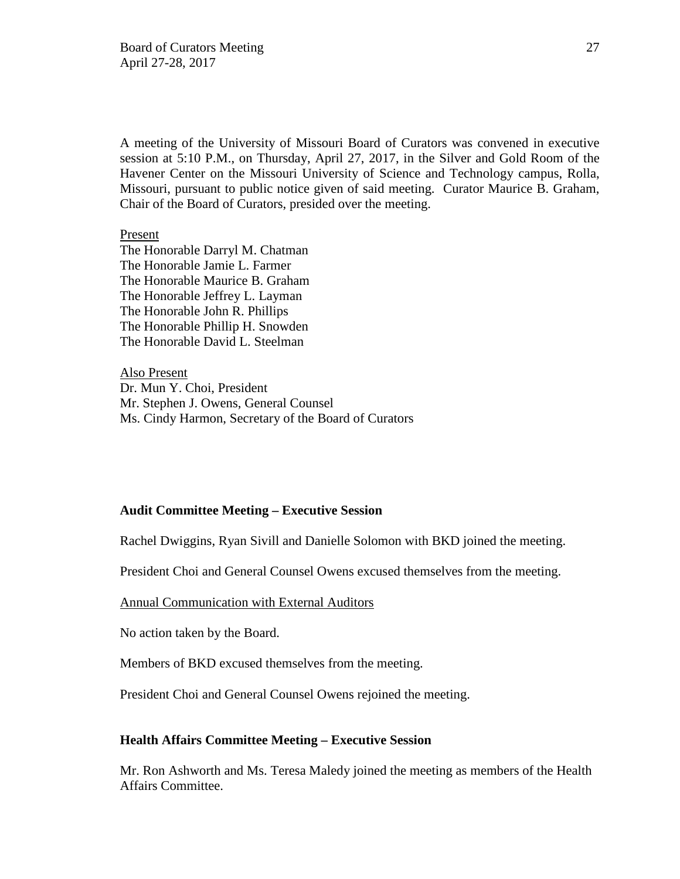A meeting of the University of Missouri Board of Curators was convened in executive session at 5:10 P.M., on Thursday, April 27, 2017, in the Silver and Gold Room of the Havener Center on the Missouri University of Science and Technology campus, Rolla, Missouri, pursuant to public notice given of said meeting. Curator Maurice B. Graham, Chair of the Board of Curators, presided over the meeting.

#### Present

The Honorable Darryl M. Chatman The Honorable Jamie L. Farmer The Honorable Maurice B. Graham The Honorable Jeffrey L. Layman The Honorable John R. Phillips The Honorable Phillip H. Snowden The Honorable David L. Steelman

Also Present Dr. Mun Y. Choi, President Mr. Stephen J. Owens, General Counsel Ms. Cindy Harmon, Secretary of the Board of Curators

### **Audit Committee Meeting – Executive Session**

Rachel Dwiggins, Ryan Sivill and Danielle Solomon with BKD joined the meeting.

President Choi and General Counsel Owens excused themselves from the meeting.

Annual Communication with External Auditors

No action taken by the Board.

Members of BKD excused themselves from the meeting.

President Choi and General Counsel Owens rejoined the meeting.

#### **Health Affairs Committee Meeting – Executive Session**

Mr. Ron Ashworth and Ms. Teresa Maledy joined the meeting as members of the Health Affairs Committee.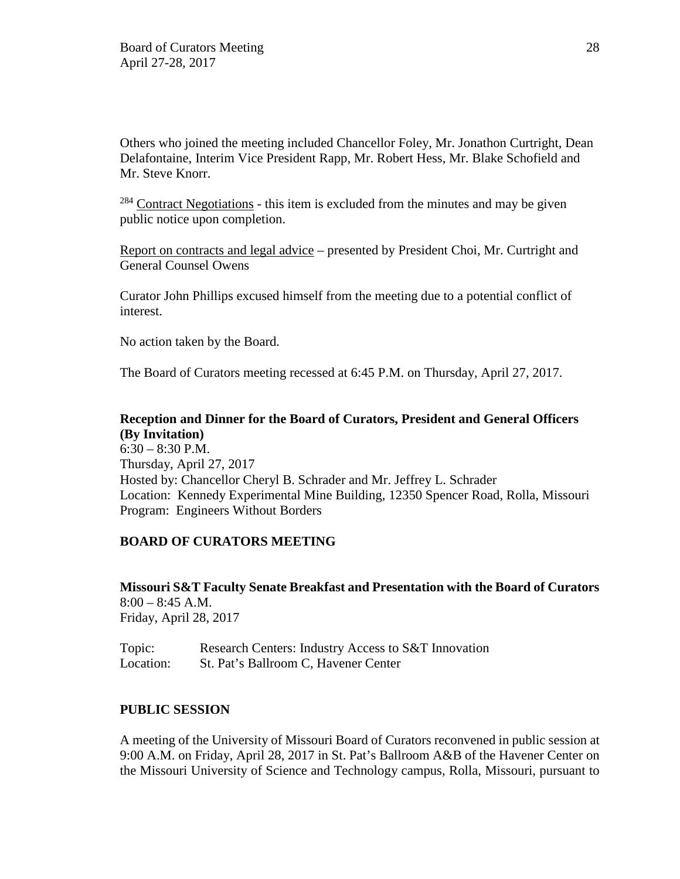Others who joined the meeting included Chancellor Foley, Mr. Jonathon Curtright, Dean Delafontaine, Interim Vice President Rapp, Mr. Robert Hess, Mr. Blake Schofield and Mr. Steve Knorr.

 $284$  Contract Negotiations - this item is excluded from the minutes and may be given public notice upon completion.

Report on contracts and legal advice – presented by President Choi, Mr. Curtright and General Counsel Owens

Curator John Phillips excused himself from the meeting due to a potential conflict of interest.

No action taken by the Board.

The Board of Curators meeting recessed at 6:45 P.M. on Thursday, April 27, 2017.

# **Reception and Dinner for the Board of Curators, President and General Officers (By Invitation)**

 $6:30 - 8:30$  P.M. Thursday, April 27, 2017 Hosted by: Chancellor Cheryl B. Schrader and Mr. Jeffrey L. Schrader Location: Kennedy Experimental Mine Building, 12350 Spencer Road, Rolla, Missouri Program: Engineers Without Borders

# **BOARD OF CURATORS MEETING**

**Missouri S&T Faculty Senate Breakfast and Presentation with the Board of Curators** 8:00 – 8:45 A.M. Friday, April 28, 2017

Topic: Research Centers: Industry Access to S&T Innovation Location: St. Pat's Ballroom C, Havener Center

## **PUBLIC SESSION**

A meeting of the University of Missouri Board of Curators reconvened in public session at 9:00 A.M. on Friday, April 28, 2017 in St. Pat's Ballroom A&B of the Havener Center on the Missouri University of Science and Technology campus, Rolla, Missouri, pursuant to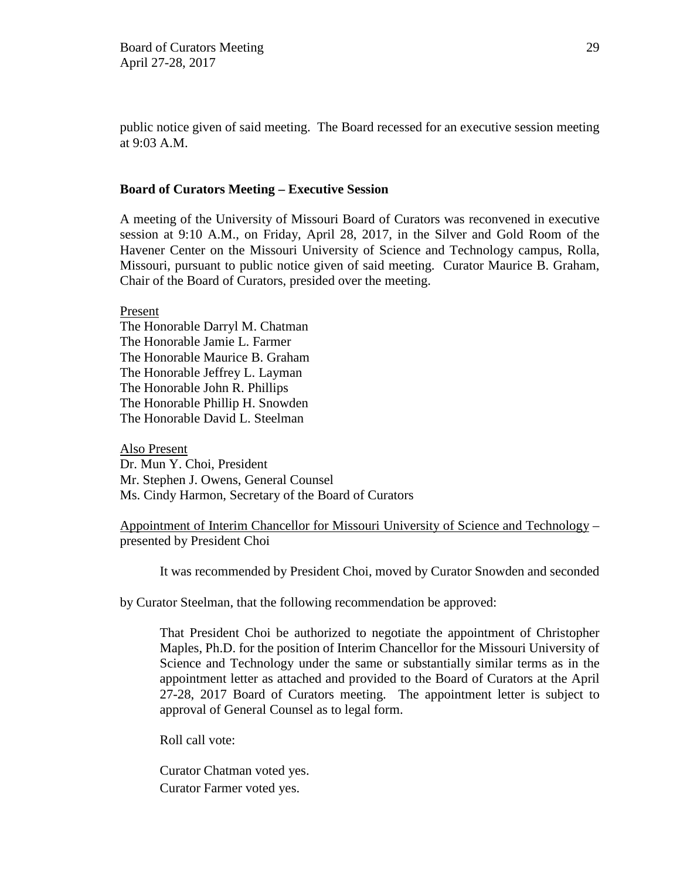public notice given of said meeting. The Board recessed for an executive session meeting at 9:03 A.M.

### **Board of Curators Meeting – Executive Session**

A meeting of the University of Missouri Board of Curators was reconvened in executive session at 9:10 A.M., on Friday, April 28, 2017, in the Silver and Gold Room of the Havener Center on the Missouri University of Science and Technology campus, Rolla, Missouri, pursuant to public notice given of said meeting. Curator Maurice B. Graham, Chair of the Board of Curators, presided over the meeting.

Present

The Honorable Darryl M. Chatman The Honorable Jamie L. Farmer The Honorable Maurice B. Graham The Honorable Jeffrey L. Layman The Honorable John R. Phillips The Honorable Phillip H. Snowden The Honorable David L. Steelman

Also Present Dr. Mun Y. Choi, President Mr. Stephen J. Owens, General Counsel Ms. Cindy Harmon, Secretary of the Board of Curators

Appointment of Interim Chancellor for Missouri University of Science and Technology – presented by President Choi

It was recommended by President Choi, moved by Curator Snowden and seconded

by Curator Steelman, that the following recommendation be approved:

That President Choi be authorized to negotiate the appointment of Christopher Maples, Ph.D. for the position of Interim Chancellor for the Missouri University of Science and Technology under the same or substantially similar terms as in the appointment letter as attached and provided to the Board of Curators at the April 27-28, 2017 Board of Curators meeting. The appointment letter is subject to approval of General Counsel as to legal form.

Roll call vote:

Curator Chatman voted yes. Curator Farmer voted yes.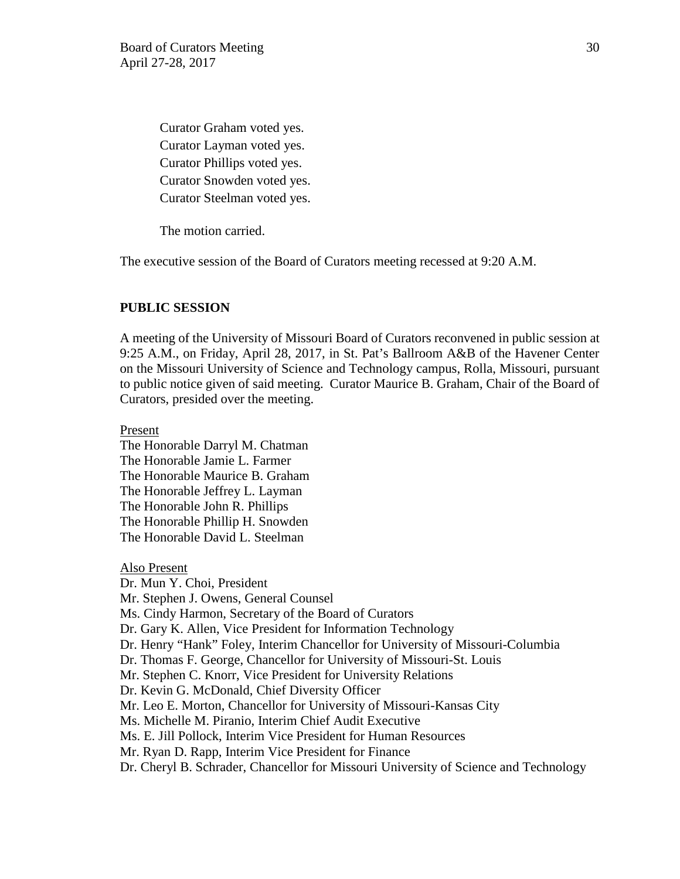Curator Graham voted yes. Curator Layman voted yes. Curator Phillips voted yes. Curator Snowden voted yes. Curator Steelman voted yes.

The motion carried.

The executive session of the Board of Curators meeting recessed at 9:20 A.M.

### **PUBLIC SESSION**

A meeting of the University of Missouri Board of Curators reconvened in public session at 9:25 A.M., on Friday, April 28, 2017, in St. Pat's Ballroom A&B of the Havener Center on the Missouri University of Science and Technology campus, Rolla, Missouri, pursuant to public notice given of said meeting. Curator Maurice B. Graham, Chair of the Board of Curators, presided over the meeting.

Present

The Honorable Darryl M. Chatman The Honorable Jamie L. Farmer The Honorable Maurice B. Graham The Honorable Jeffrey L. Layman The Honorable John R. Phillips The Honorable Phillip H. Snowden The Honorable David L. Steelman

Also Present Dr. Mun Y. Choi, President Mr. Stephen J. Owens, General Counsel Ms. Cindy Harmon, Secretary of the Board of Curators Dr. Gary K. Allen, Vice President for Information Technology Dr. Henry "Hank" Foley, Interim Chancellor for University of Missouri-Columbia Dr. Thomas F. George, Chancellor for University of Missouri-St. Louis Mr. Stephen C. Knorr, Vice President for University Relations Dr. Kevin G. McDonald, Chief Diversity Officer Mr. Leo E. Morton, Chancellor for University of Missouri-Kansas City Ms. Michelle M. Piranio, Interim Chief Audit Executive Ms. E. Jill Pollock, Interim Vice President for Human Resources Mr. Ryan D. Rapp, Interim Vice President for Finance Dr. Cheryl B. Schrader, Chancellor for Missouri University of Science and Technology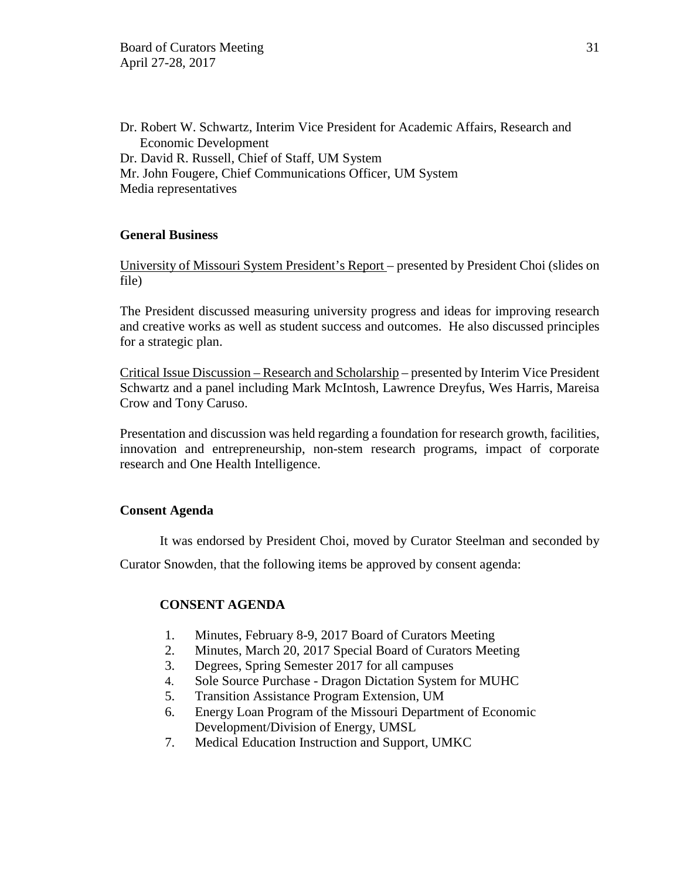Dr. Robert W. Schwartz, Interim Vice President for Academic Affairs, Research and Economic Development Dr. David R. Russell, Chief of Staff, UM System Mr. John Fougere, Chief Communications Officer, UM System Media representatives

## **General Business**

University of Missouri System President's Report – presented by President Choi (slides on file)

The President discussed measuring university progress and ideas for improving research and creative works as well as student success and outcomes. He also discussed principles for a strategic plan.

Critical Issue Discussion – Research and Scholarship – presented by Interim Vice President Schwartz and a panel including Mark McIntosh, Lawrence Dreyfus, Wes Harris, Mareisa Crow and Tony Caruso.

Presentation and discussion was held regarding a foundation for research growth, facilities, innovation and entrepreneurship, non-stem research programs, impact of corporate research and One Health Intelligence.

## **Consent Agenda**

It was endorsed by President Choi, moved by Curator Steelman and seconded by

Curator Snowden, that the following items be approved by consent agenda:

# **CONSENT AGENDA**

- 1. Minutes, February 8-9, 2017 Board of Curators Meeting
- 2. Minutes, March 20, 2017 Special Board of Curators Meeting
- 3. Degrees, Spring Semester 2017 for all campuses
- 4. Sole Source Purchase Dragon Dictation System for MUHC
- 5. Transition Assistance Program Extension, UM
- 6. Energy Loan Program of the Missouri Department of Economic Development/Division of Energy, UMSL
- 7. Medical Education Instruction and Support, UMKC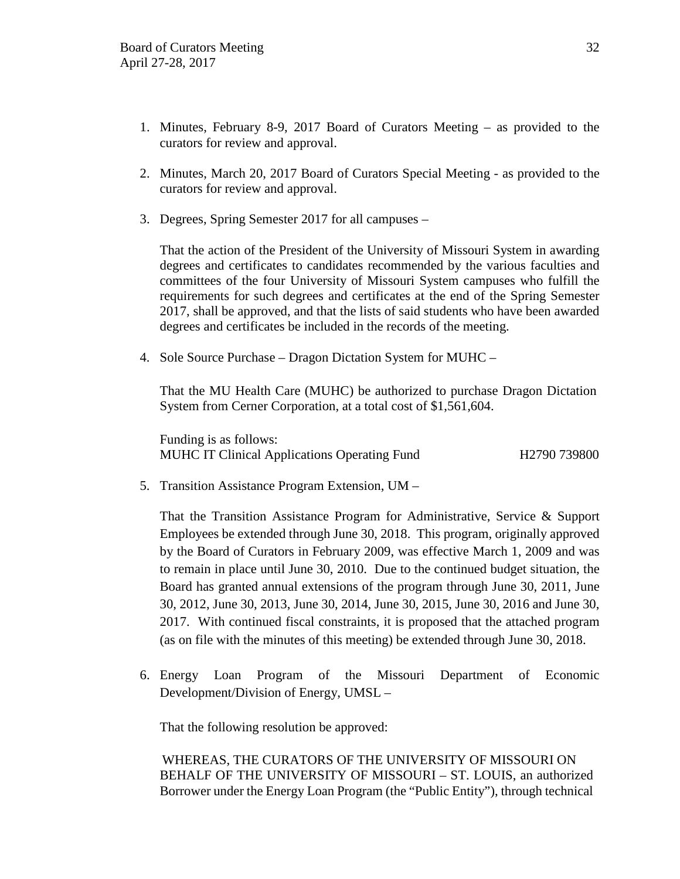- 1. Minutes, February 8-9, 2017 Board of Curators Meeting as provided to the curators for review and approval.
- 2. Minutes, March 20, 2017 Board of Curators Special Meeting as provided to the curators for review and approval.
- 3. Degrees, Spring Semester 2017 for all campuses –

That the action of the President of the University of Missouri System in awarding degrees and certificates to candidates recommended by the various faculties and committees of the four University of Missouri System campuses who fulfill the requirements for such degrees and certificates at the end of the Spring Semester 2017, shall be approved, and that the lists of said students who have been awarded degrees and certificates be included in the records of the meeting.

4. Sole Source Purchase – Dragon Dictation System for MUHC –

That the MU Health Care (MUHC) be authorized to purchase Dragon Dictation System from Cerner Corporation, at a total cost of \$1,561,604.

Funding is as follows: MUHC IT Clinical Applications Operating Fund H2790 739800

5. Transition Assistance Program Extension, UM –

That the Transition Assistance Program for Administrative, Service & Support Employees be extended through June 30, 2018. This program, originally approved by the Board of Curators in February 2009, was effective March 1, 2009 and was to remain in place until June 30, 2010. Due to the continued budget situation, the Board has granted annual extensions of the program through June 30, 2011, June 30, 2012, June 30, 2013, June 30, 2014, June 30, 2015, June 30, 2016 and June 30, 2017. With continued fiscal constraints, it is proposed that the attached program (as on file with the minutes of this meeting) be extended through June 30, 2018.

6. Energy Loan Program of the Missouri Department of Economic Development/Division of Energy, UMSL –

That the following resolution be approved:

WHEREAS, THE CURATORS OF THE UNIVERSITY OF MISSOURI ON BEHALF OF THE UNIVERSITY OF MISSOURI – ST. LOUIS, an authorized Borrower under the Energy Loan Program (the "Public Entity"), through technical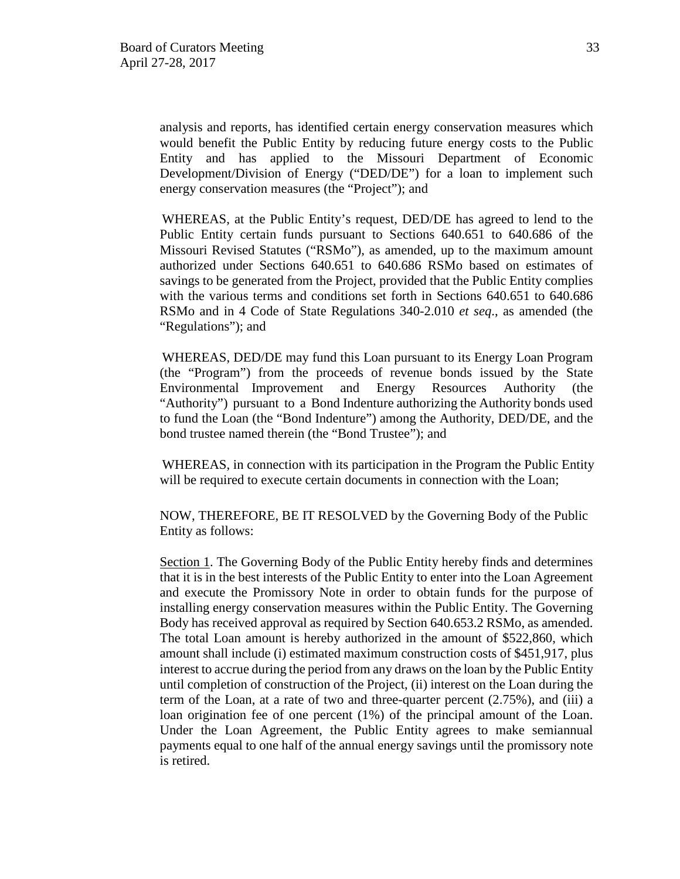analysis and reports, has identified certain energy conservation measures which would benefit the Public Entity by reducing future energy costs to the Public Entity and has applied to the Missouri Department of Economic Development/Division of Energy ("DED/DE") for a loan to implement such energy conservation measures (the "Project"); and

WHEREAS, at the Public Entity's request, DED/DE has agreed to lend to the Public Entity certain funds pursuant to Sections 640.651 to 640.686 of the Missouri Revised Statutes ("RSMo"), as amended, up to the maximum amount authorized under Sections 640.651 to 640.686 RSMo based on estimates of savings to be generated from the Project, provided that the Public Entity complies with the various terms and conditions set forth in Sections 640.651 to 640.686 RSMo and in 4 Code of State Regulations 340-2.010 *et seq*., as amended (the "Regulations"); and

WHEREAS, DED/DE may fund this Loan pursuant to its Energy Loan Program (the "Program") from the proceeds of revenue bonds issued by the State Environmental Improvement and Energy Resources Authority (the "Authority") pursuant to a Bond Indenture authorizing the Authority bonds used to fund the Loan (the "Bond Indenture") among the Authority, DED/DE, and the bond trustee named therein (the "Bond Trustee"); and

WHEREAS, in connection with its participation in the Program the Public Entity will be required to execute certain documents in connection with the Loan;

NOW, THEREFORE, BE IT RESOLVED by the Governing Body of the Public Entity as follows:

Section 1. The Governing Body of the Public Entity hereby finds and determines that it is in the best interests of the Public Entity to enter into the Loan Agreement and execute the Promissory Note in order to obtain funds for the purpose of installing energy conservation measures within the Public Entity. The Governing Body has received approval as required by Section 640.653.2 RSMo, as amended. The total Loan amount is hereby authorized in the amount of \$522,860, which amount shall include (i) estimated maximum construction costs of \$451,917, plus interest to accrue during the period from any draws on the loan by the Public Entity until completion of construction of the Project, (ii) interest on the Loan during the term of the Loan, at a rate of two and three-quarter percent (2.75%), and (iii) a loan origination fee of one percent (1%) of the principal amount of the Loan. Under the Loan Agreement, the Public Entity agrees to make semiannual payments equal to one half of the annual energy savings until the promissory note is retired.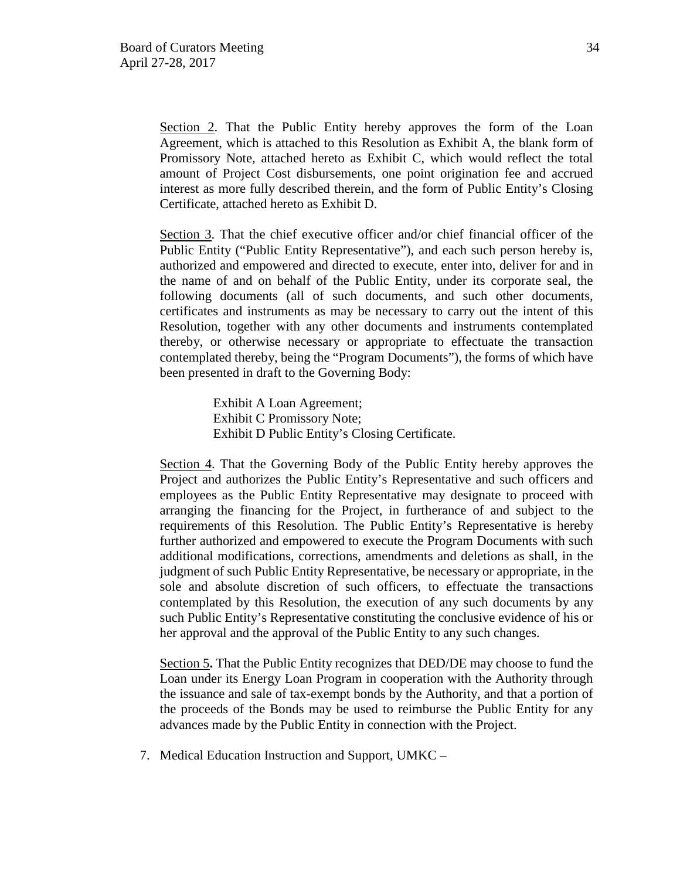Section 2. That the Public Entity hereby approves the form of the Loan Agreement, which is attached to this Resolution as Exhibit A, the blank form of Promissory Note, attached hereto as Exhibit C, which would reflect the total amount of Project Cost disbursements, one point origination fee and accrued interest as more fully described therein, and the form of Public Entity's Closing Certificate, attached hereto as Exhibit D.

Section 3. That the chief executive officer and/or chief financial officer of the Public Entity ("Public Entity Representative"), and each such person hereby is, authorized and empowered and directed to execute, enter into, deliver for and in the name of and on behalf of the Public Entity, under its corporate seal, the following documents (all of such documents, and such other documents, certificates and instruments as may be necessary to carry out the intent of this Resolution, together with any other documents and instruments contemplated thereby, or otherwise necessary or appropriate to effectuate the transaction contemplated thereby, being the "Program Documents"), the forms of which have been presented in draft to the Governing Body:

> Exhibit A Loan Agreement; Exhibit C Promissory Note; Exhibit D Public Entity's Closing Certificate.

Section 4. That the Governing Body of the Public Entity hereby approves the Project and authorizes the Public Entity's Representative and such officers and employees as the Public Entity Representative may designate to proceed with arranging the financing for the Project, in furtherance of and subject to the requirements of this Resolution. The Public Entity's Representative is hereby further authorized and empowered to execute the Program Documents with such additional modifications, corrections, amendments and deletions as shall, in the judgment of such Public Entity Representative, be necessary or appropriate, in the sole and absolute discretion of such officers, to effectuate the transactions contemplated by this Resolution, the execution of any such documents by any such Public Entity's Representative constituting the conclusive evidence of his or her approval and the approval of the Public Entity to any such changes.

Section 5**.** That the Public Entity recognizes that DED/DE may choose to fund the Loan under its Energy Loan Program in cooperation with the Authority through the issuance and sale of tax-exempt bonds by the Authority, and that a portion of the proceeds of the Bonds may be used to reimburse the Public Entity for any advances made by the Public Entity in connection with the Project.

7. Medical Education Instruction and Support, UMKC –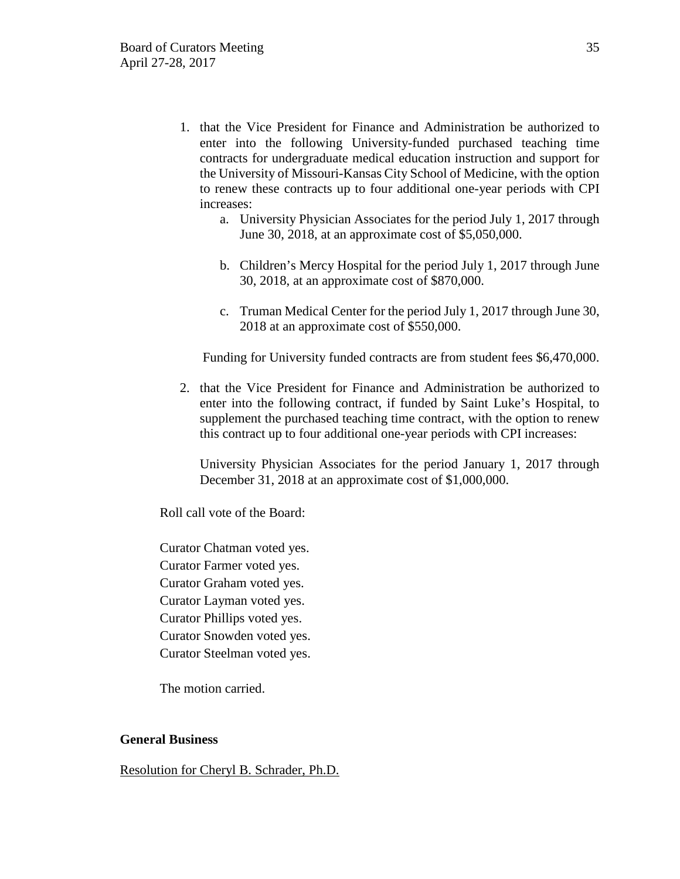- 1. that the Vice President for Finance and Administration be authorized to enter into the following University-funded purchased teaching time contracts for undergraduate medical education instruction and support for the University of Missouri-Kansas City School of Medicine, with the option to renew these contracts up to four additional one-year periods with CPI increases:
	- a. University Physician Associates for the period July 1, 2017 through June 30, 2018, at an approximate cost of \$5,050,000.
	- b. Children's Mercy Hospital for the period July 1, 2017 through June 30, 2018, at an approximate cost of \$870,000.
	- c. Truman Medical Center for the period July 1, 2017 through June 30, 2018 at an approximate cost of \$550,000.

Funding for University funded contracts are from student fees \$6,470,000.

2. that the Vice President for Finance and Administration be authorized to enter into the following contract, if funded by Saint Luke's Hospital, to supplement the purchased teaching time contract, with the option to renew this contract up to four additional one-year periods with CPI increases:

University Physician Associates for the period January 1, 2017 through December 31, 2018 at an approximate cost of \$1,000,000.

Roll call vote of the Board:

Curator Chatman voted yes. Curator Farmer voted yes. Curator Graham voted yes. Curator Layman voted yes. Curator Phillips voted yes. Curator Snowden voted yes. Curator Steelman voted yes.

The motion carried.

### **General Business**

Resolution for Cheryl B. Schrader, Ph.D.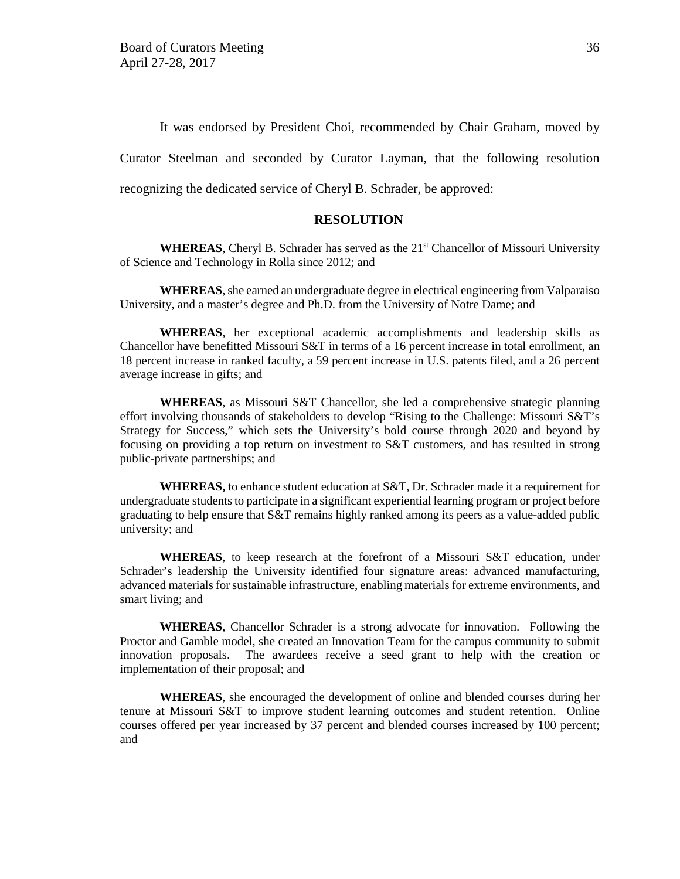It was endorsed by President Choi, recommended by Chair Graham, moved by Curator Steelman and seconded by Curator Layman, that the following resolution recognizing the dedicated service of Cheryl B. Schrader, be approved:

### **RESOLUTION**

**WHEREAS**, Cheryl B. Schrader has served as the 21<sup>st</sup> Chancellor of Missouri University of Science and Technology in Rolla since 2012; and

**WHEREAS**, she earned an undergraduate degree in electrical engineering from Valparaiso University, and a master's degree and Ph.D. from the University of Notre Dame; and

**WHEREAS**, her exceptional academic accomplishments and leadership skills as Chancellor have benefitted Missouri S&T in terms of a 16 percent increase in total enrollment, an 18 percent increase in ranked faculty, a 59 percent increase in U.S. patents filed, and a 26 percent average increase in gifts; and

**WHEREAS**, as Missouri S&T Chancellor, she led a comprehensive strategic planning effort involving thousands of stakeholders to develop "Rising to the Challenge: Missouri S&T's Strategy for Success," which sets the University's bold course through 2020 and beyond by focusing on providing a top return on investment to S&T customers, and has resulted in strong public-private partnerships; and

**WHEREAS,** to enhance student education at S&T, Dr. Schrader made it a requirement for undergraduate students to participate in a significant experiential learning program or project before graduating to help ensure that S&T remains highly ranked among its peers as a value-added public university; and

**WHEREAS**, to keep research at the forefront of a Missouri S&T education, under Schrader's leadership the University identified four signature areas: advanced manufacturing, advanced materials for sustainable infrastructure, enabling materials for extreme environments, and smart living; and

**WHEREAS**, Chancellor Schrader is a strong advocate for innovation. Following the Proctor and Gamble model, she created an Innovation Team for the campus community to submit innovation proposals. The awardees receive a seed grant to help with the creation or implementation of their proposal; and

**WHEREAS**, she encouraged the development of online and blended courses during her tenure at Missouri S&T to improve student learning outcomes and student retention. Online courses offered per year increased by 37 percent and blended courses increased by 100 percent; and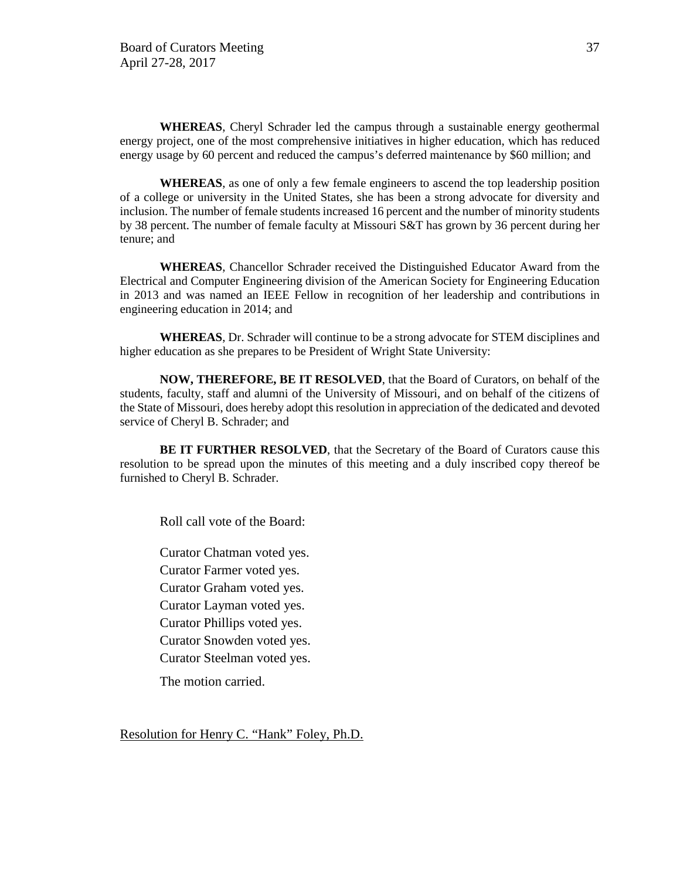**WHEREAS**, Cheryl Schrader led the campus through a sustainable energy geothermal energy project, one of the most comprehensive initiatives in higher education, which has reduced energy usage by 60 percent and reduced the campus's deferred maintenance by \$60 million; and

**WHEREAS**, as one of only a few female engineers to ascend the top leadership position of a college or university in the United States, she has been a strong advocate for diversity and inclusion. The number of female students increased 16 percent and the number of minority students by 38 percent. The number of female faculty at Missouri S&T has grown by 36 percent during her tenure; and

**WHEREAS**, Chancellor Schrader received the Distinguished Educator Award from the Electrical and Computer Engineering division of the American Society for Engineering Education in 2013 and was named an IEEE Fellow in recognition of her leadership and contributions in engineering education in 2014; and

**WHEREAS**, Dr. Schrader will continue to be a strong advocate for STEM disciplines and higher education as she prepares to be President of Wright State University:

**NOW, THEREFORE, BE IT RESOLVED**, that the Board of Curators, on behalf of the students, faculty, staff and alumni of the University of Missouri, and on behalf of the citizens of the State of Missouri, does hereby adopt this resolution in appreciation of the dedicated and devoted service of Cheryl B. Schrader; and

**BE IT FURTHER RESOLVED**, that the Secretary of the Board of Curators cause this resolution to be spread upon the minutes of this meeting and a duly inscribed copy thereof be furnished to Cheryl B. Schrader.

Roll call vote of the Board:

Curator Chatman voted yes. Curator Farmer voted yes. Curator Graham voted yes. Curator Layman voted yes. Curator Phillips voted yes. Curator Snowden voted yes. Curator Steelman voted yes. The motion carried.

Resolution for Henry C. "Hank" Foley, Ph.D.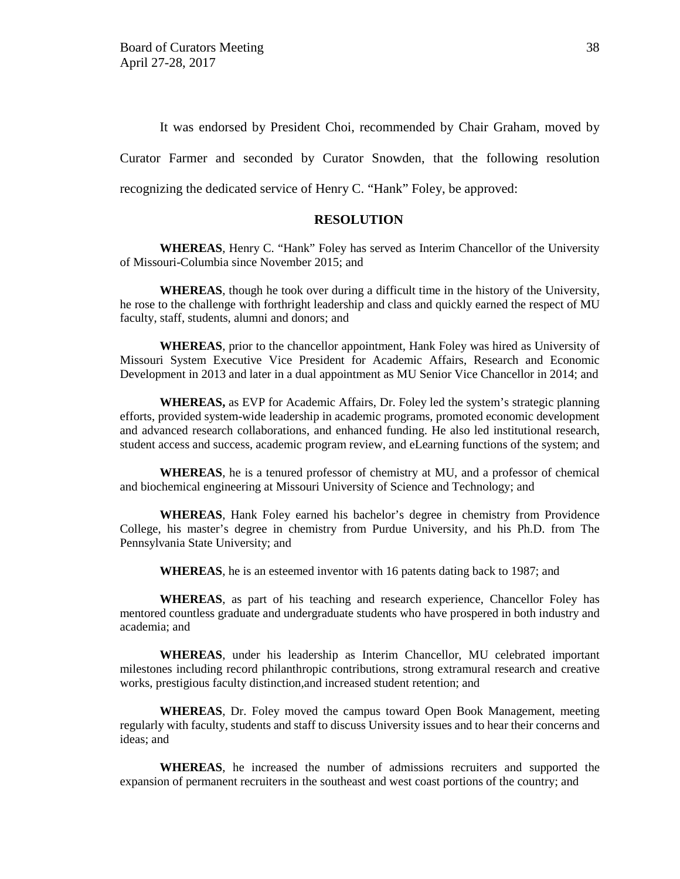It was endorsed by President Choi, recommended by Chair Graham, moved by Curator Farmer and seconded by Curator Snowden, that the following resolution recognizing the dedicated service of Henry C. "Hank" Foley, be approved:

#### **RESOLUTION**

**WHEREAS**, Henry C. "Hank" Foley has served as Interim Chancellor of the University of Missouri-Columbia since November 2015; and

**WHEREAS**, though he took over during a difficult time in the history of the University, he rose to the challenge with forthright leadership and class and quickly earned the respect of MU faculty, staff, students, alumni and donors; and

**WHEREAS**, prior to the chancellor appointment, Hank Foley was hired as University of Missouri System Executive Vice President for Academic Affairs, Research and Economic Development in 2013 and later in a dual appointment as MU Senior Vice Chancellor in 2014; and

**WHEREAS,** as EVP for Academic Affairs, Dr. Foley led the system's strategic planning efforts, provided system-wide leadership in academic programs, promoted economic development and advanced research collaborations, and enhanced funding. He also led institutional research, student access and success, academic program review, and eLearning functions of the system; and

**WHEREAS**, he is a tenured professor of chemistry at MU, and a professor of chemical and biochemical engineering at Missouri University of Science and Technology; and

**WHEREAS**, Hank Foley earned his bachelor's degree in chemistry from Providence College, his master's degree in chemistry from Purdue University, and his Ph.D. from The Pennsylvania State University; and

**WHEREAS**, he is an esteemed inventor with 16 patents dating back to 1987; and

**WHEREAS**, as part of his teaching and research experience, Chancellor Foley has mentored countless graduate and undergraduate students who have prospered in both industry and academia; and

**WHEREAS**, under his leadership as Interim Chancellor, MU celebrated important milestones including record philanthropic contributions, strong extramural research and creative works, prestigious faculty distinction,and increased student retention; and

**WHEREAS**, Dr. Foley moved the campus toward Open Book Management, meeting regularly with faculty, students and staff to discuss University issues and to hear their concerns and ideas; and

**WHEREAS**, he increased the number of admissions recruiters and supported the expansion of permanent recruiters in the southeast and west coast portions of the country; and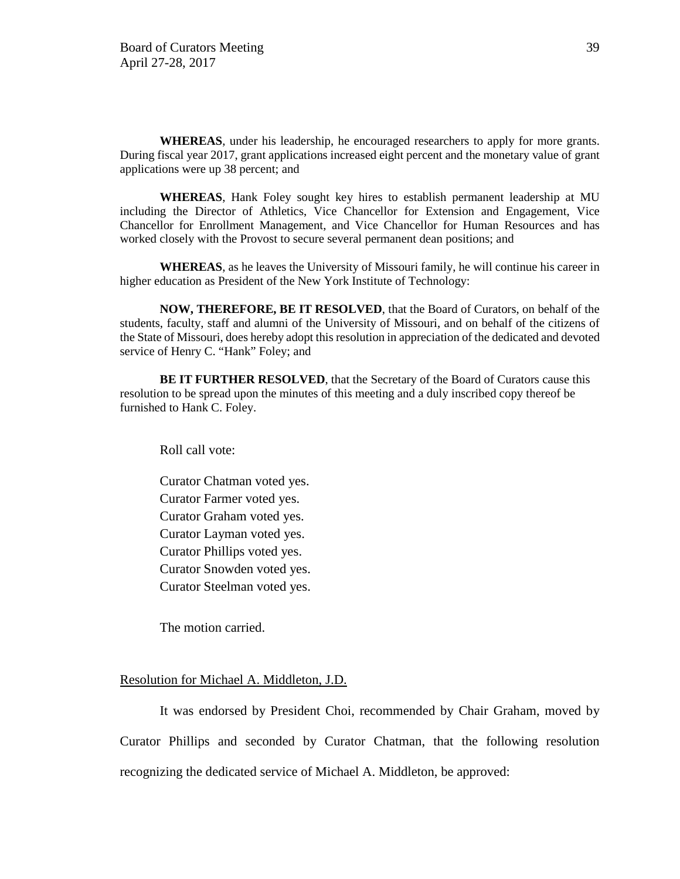**WHEREAS**, under his leadership, he encouraged researchers to apply for more grants. During fiscal year 2017, grant applications increased eight percent and the monetary value of grant applications were up 38 percent; and

**WHEREAS**, Hank Foley sought key hires to establish permanent leadership at MU including the Director of Athletics, Vice Chancellor for Extension and Engagement, Vice Chancellor for Enrollment Management, and Vice Chancellor for Human Resources and has worked closely with the Provost to secure several permanent dean positions; and

**WHEREAS**, as he leaves the University of Missouri family, he will continue his career in higher education as President of the New York Institute of Technology:

**NOW, THEREFORE, BE IT RESOLVED**, that the Board of Curators, on behalf of the students, faculty, staff and alumni of the University of Missouri, and on behalf of the citizens of the State of Missouri, does hereby adopt this resolution in appreciation of the dedicated and devoted service of Henry C. "Hank" Foley; and

**BE IT FURTHER RESOLVED**, that the Secretary of the Board of Curators cause this resolution to be spread upon the minutes of this meeting and a duly inscribed copy thereof be furnished to Hank C. Foley.

Roll call vote:

Curator Chatman voted yes. Curator Farmer voted yes. Curator Graham voted yes. Curator Layman voted yes. Curator Phillips voted yes. Curator Snowden voted yes. Curator Steelman voted yes.

The motion carried.

### Resolution for Michael A. Middleton, J.D.

It was endorsed by President Choi, recommended by Chair Graham, moved by Curator Phillips and seconded by Curator Chatman, that the following resolution recognizing the dedicated service of Michael A. Middleton, be approved: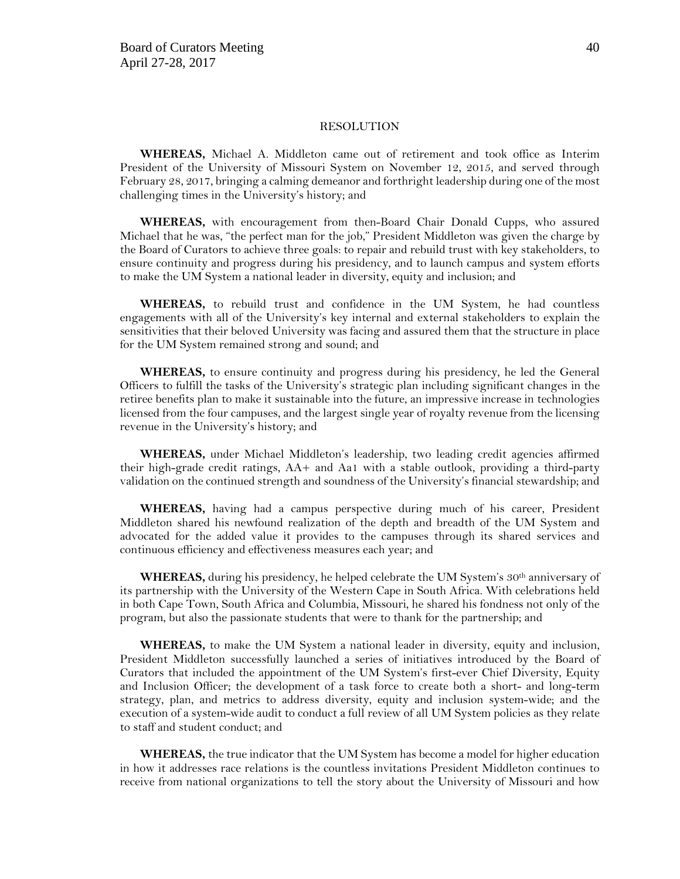#### RESOLUTION

**WHEREAS,** Michael A. Middleton came out of retirement and took office as Interim President of the University of Missouri System on November 12, 2015, and served through February 28, 2017, bringing a calming demeanor and forthright leadership during one of the most challenging times in the University's history; and

**WHEREAS,** with encouragement from then-Board Chair Donald Cupps, who assured Michael that he was, "the perfect man for the job," President Middleton was given the charge by the Board of Curators to achieve three goals: to repair and rebuild trust with key stakeholders, to ensure continuity and progress during his presidency, and to launch campus and system efforts to make the UM System a national leader in diversity, equity and inclusion; and

**WHEREAS,** to rebuild trust and confidence in the UM System, he had countless engagements with all of the University's key internal and external stakeholders to explain the sensitivities that their beloved University was facing and assured them that the structure in place for the UM System remained strong and sound; and

**WHEREAS,** to ensure continuity and progress during his presidency, he led the General Officers to fulfill the tasks of the University's strategic plan including significant changes in the retiree benefits plan to make it sustainable into the future, an impressive increase in technologies licensed from the four campuses, and the largest single year of royalty revenue from the licensing revenue in the University's history; and

**WHEREAS,** under Michael Middleton's leadership, two leading credit agencies affirmed their high-grade credit ratings, AA+ and Aa1 with a stable outlook, providing a third-party validation on the continued strength and soundness of the University's financial stewardship; and

**WHEREAS,** having had a campus perspective during much of his career, President Middleton shared his newfound realization of the depth and breadth of the UM System and advocated for the added value it provides to the campuses through its shared services and continuous efficiency and effectiveness measures each year; and

**WHEREAS,** during his presidency, he helped celebrate the UM System's 30<sup>th</sup> anniversary of its partnership with the University of the Western Cape in South Africa. With celebrations held in both Cape Town, South Africa and Columbia, Missouri, he shared his fondness not only of the program, but also the passionate students that were to thank for the partnership; and

**WHEREAS,** to make the UM System a national leader in diversity, equity and inclusion, President Middleton successfully launched a series of initiatives introduced by the Board of Curators that included the appointment of the UM System's first-ever Chief Diversity, Equity and Inclusion Officer; the development of a task force to create both a short- and long-term strategy, plan, and metrics to address diversity, equity and inclusion system-wide; and the execution of a system-wide audit to conduct a full review of all UM System policies as they relate to staff and student conduct; and

**WHEREAS,** the true indicator that the UM System has become a model for higher education in how it addresses race relations is the countless invitations President Middleton continues to receive from national organizations to tell the story about the University of Missouri and how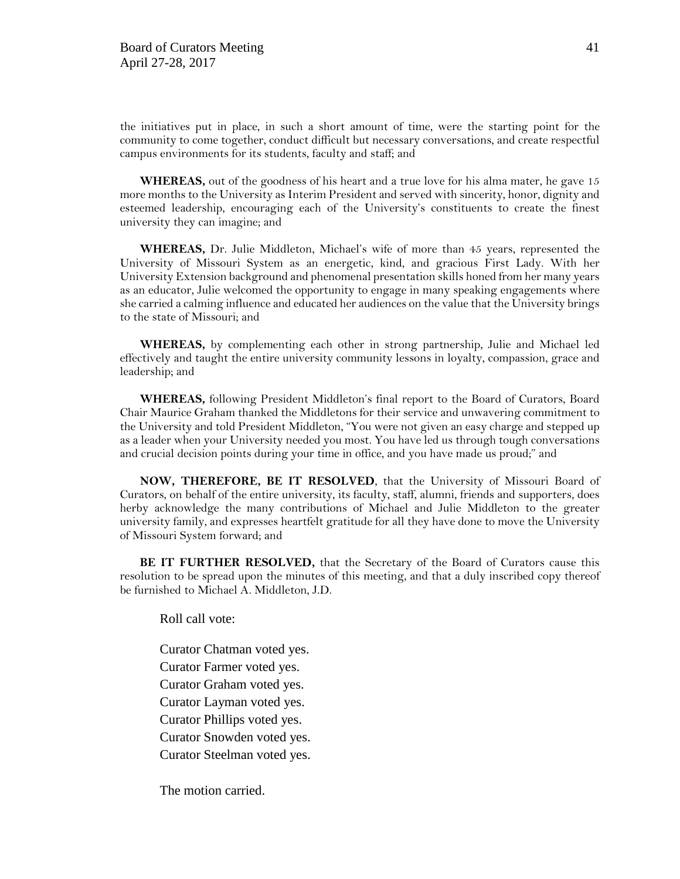the initiatives put in place, in such a short amount of time, were the starting point for the community to come together, conduct difficult but necessary conversations, and create respectful campus environments for its students, faculty and staff; and

**WHEREAS,** out of the goodness of his heart and a true love for his alma mater, he gave 15 more months to the University as Interim President and served with sincerity, honor, dignity and esteemed leadership, encouraging each of the University's constituents to create the finest university they can imagine; and

**WHEREAS,** Dr. Julie Middleton, Michael's wife of more than 45 years, represented the University of Missouri System as an energetic, kind, and gracious First Lady. With her University Extension background and phenomenal presentation skills honed from her many years as an educator, Julie welcomed the opportunity to engage in many speaking engagements where she carried a calming influence and educated her audiences on the value that the University brings to the state of Missouri; and

**WHEREAS,** by complementing each other in strong partnership, Julie and Michael led effectively and taught the entire university community lessons in loyalty, compassion, grace and leadership; and

**WHEREAS,** following President Middleton's final report to the Board of Curators, Board Chair Maurice Graham thanked the Middletons for their service and unwavering commitment to the University and told President Middleton, "You were not given an easy charge and stepped up as a leader when your University needed you most. You have led us through tough conversations and crucial decision points during your time in office, and you have made us proud;" and

**NOW, THEREFORE, BE IT RESOLVED**, that the University of Missouri Board of Curators, on behalf of the entire university, its faculty, staff, alumni, friends and supporters, does herby acknowledge the many contributions of Michael and Julie Middleton to the greater university family, and expresses heartfelt gratitude for all they have done to move the University of Missouri System forward; and

**BE IT FURTHER RESOLVED,** that the Secretary of the Board of Curators cause this resolution to be spread upon the minutes of this meeting, and that a duly inscribed copy thereof be furnished to Michael A. Middleton, J.D.

Roll call vote:

Curator Chatman voted yes. Curator Farmer voted yes. Curator Graham voted yes. Curator Layman voted yes. Curator Phillips voted yes. Curator Snowden voted yes. Curator Steelman voted yes.

The motion carried.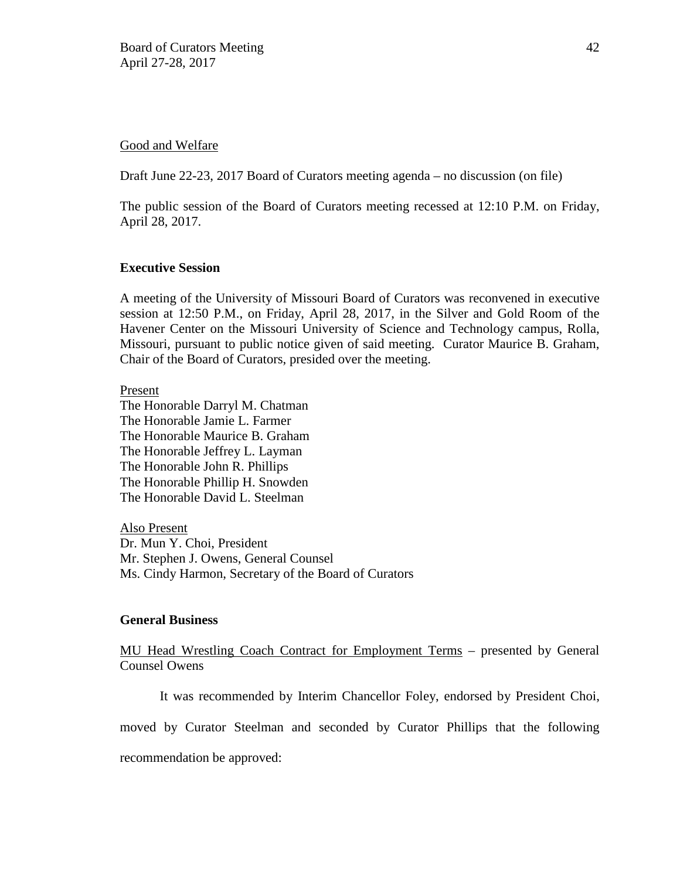#### Good and Welfare

Draft June 22-23, 2017 Board of Curators meeting agenda – no discussion (on file)

The public session of the Board of Curators meeting recessed at 12:10 P.M. on Friday, April 28, 2017.

### **Executive Session**

A meeting of the University of Missouri Board of Curators was reconvened in executive session at 12:50 P.M., on Friday, April 28, 2017, in the Silver and Gold Room of the Havener Center on the Missouri University of Science and Technology campus, Rolla, Missouri, pursuant to public notice given of said meeting. Curator Maurice B. Graham, Chair of the Board of Curators, presided over the meeting.

Present

The Honorable Darryl M. Chatman The Honorable Jamie L. Farmer The Honorable Maurice B. Graham The Honorable Jeffrey L. Layman The Honorable John R. Phillips The Honorable Phillip H. Snowden The Honorable David L. Steelman

Also Present Dr. Mun Y. Choi, President Mr. Stephen J. Owens, General Counsel Ms. Cindy Harmon, Secretary of the Board of Curators

### **General Business**

MU Head Wrestling Coach Contract for Employment Terms – presented by General Counsel Owens

It was recommended by Interim Chancellor Foley, endorsed by President Choi,

moved by Curator Steelman and seconded by Curator Phillips that the following

recommendation be approved: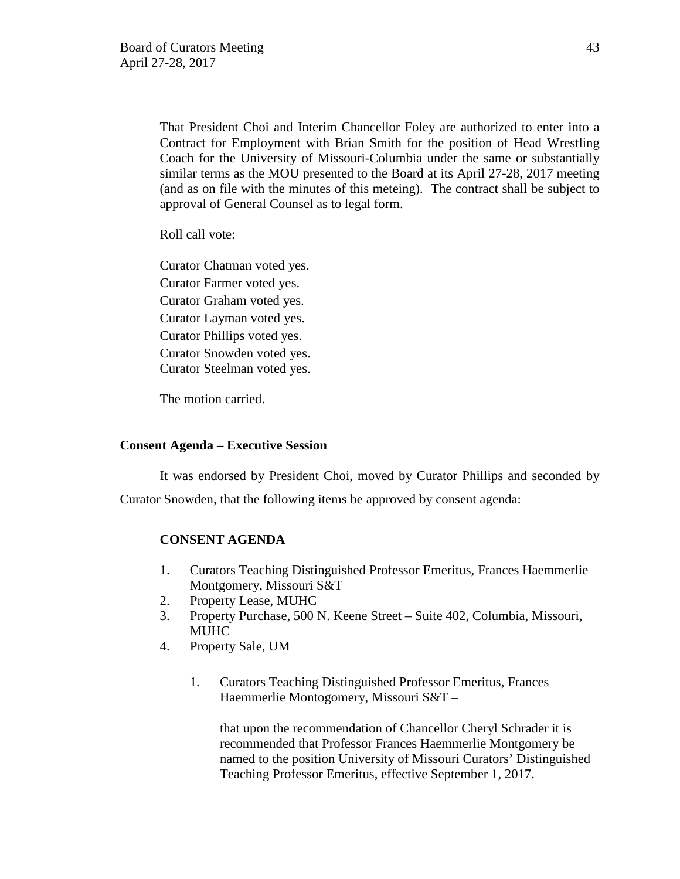That President Choi and Interim Chancellor Foley are authorized to enter into a Contract for Employment with Brian Smith for the position of Head Wrestling Coach for the University of Missouri-Columbia under the same or substantially similar terms as the MOU presented to the Board at its April 27-28, 2017 meeting (and as on file with the minutes of this meteing). The contract shall be subject to approval of General Counsel as to legal form.

Roll call vote:

Curator Chatman voted yes. Curator Farmer voted yes. Curator Graham voted yes. Curator Layman voted yes. Curator Phillips voted yes. Curator Snowden voted yes. Curator Steelman voted yes.

The motion carried.

### **Consent Agenda – Executive Session**

It was endorsed by President Choi, moved by Curator Phillips and seconded by Curator Snowden, that the following items be approved by consent agenda:

## **CONSENT AGENDA**

- 1. Curators Teaching Distinguished Professor Emeritus, Frances Haemmerlie Montgomery, Missouri S&T
- 2. Property Lease, MUHC
- 3. Property Purchase, 500 N. Keene Street Suite 402, Columbia, Missouri, MUHC
- 4. Property Sale, UM
	- 1. Curators Teaching Distinguished Professor Emeritus, Frances Haemmerlie Montogomery, Missouri S&T –

that upon the recommendation of Chancellor Cheryl Schrader it is recommended that Professor Frances Haemmerlie Montgomery be named to the position University of Missouri Curators' Distinguished Teaching Professor Emeritus, effective September 1, 2017.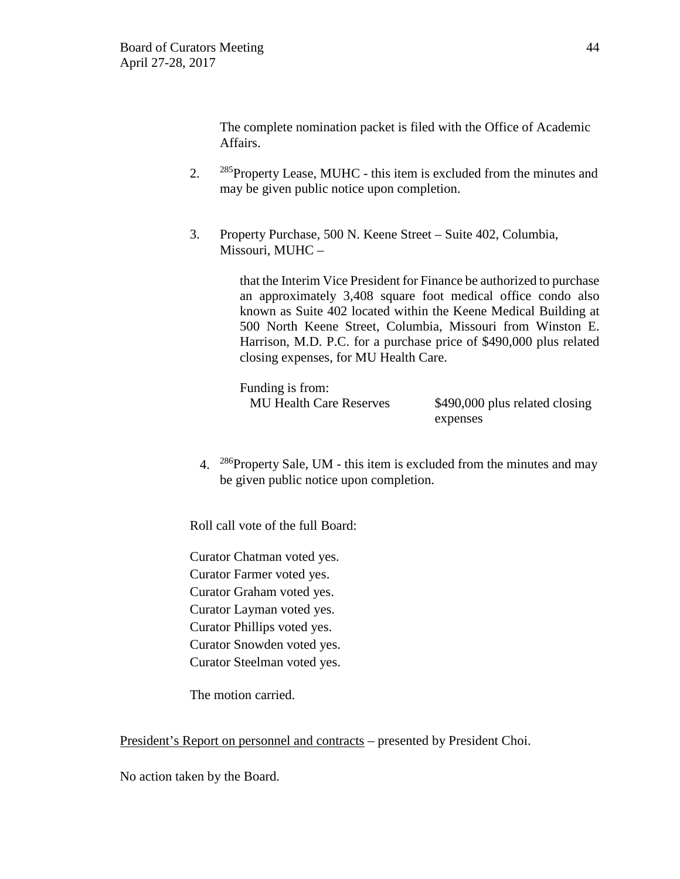The complete nomination packet is filed with the Office of Academic Affairs.

- 2. <sup>285</sup>Property Lease, MUHC this item is excluded from the minutes and may be given public notice upon completion.
- 3. Property Purchase, 500 N. Keene Street Suite 402, Columbia, Missouri, MUHC –

that the Interim Vice President for Finance be authorized to purchase an approximately 3,408 square foot medical office condo also known as Suite 402 located within the Keene Medical Building at 500 North Keene Street, Columbia, Missouri from Winston E. Harrison, M.D. P.C. for a purchase price of \$490,000 plus related closing expenses, for MU Health Care.

Funding is from:

MU Health Care Reserves \$490,000 plus related closing expenses

4. 286Property Sale, UM - this item is excluded from the minutes and may be given public notice upon completion.

Roll call vote of the full Board:

Curator Chatman voted yes. Curator Farmer voted yes. Curator Graham voted yes. Curator Layman voted yes. Curator Phillips voted yes. Curator Snowden voted yes. Curator Steelman voted yes.

The motion carried.

President's Report on personnel and contracts – presented by President Choi.

No action taken by the Board.